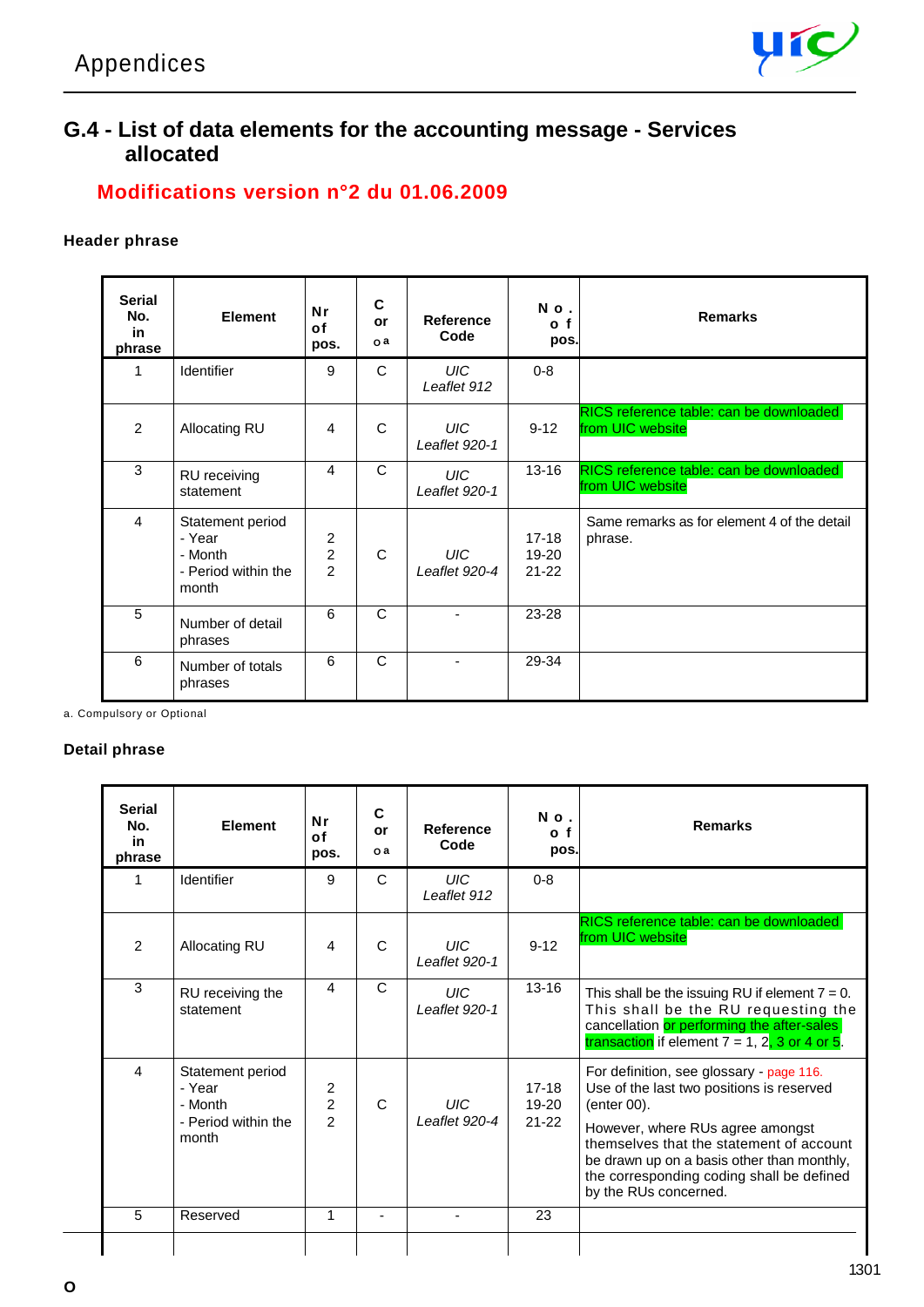

### **G.4 - List of data elements for the accounting message - Services allocated**

### **Modifications version n°2 du 01.06.2009**

#### **Header phrase**

| <b>Serial</b><br>No.<br>in<br>phrase | <b>Element</b>                                                        | Nr<br>of<br>pos.                                   | C<br>or<br>0a | Reference<br>Code           | No.<br>o f<br>pos.                | <b>Remarks</b>                                              |
|--------------------------------------|-----------------------------------------------------------------------|----------------------------------------------------|---------------|-----------------------------|-----------------------------------|-------------------------------------------------------------|
| 1                                    | Identifier                                                            | 9                                                  | C             | UIC-<br>Leaflet 912         | $0 - 8$                           |                                                             |
| $\overline{2}$                       | Allocating RU                                                         | $\overline{4}$                                     | C             | UIC-<br>Leaflet 920-1       | $9 - 12$                          | RICS reference table: can be downloaded<br>from UIC website |
| 3                                    | RU receiving<br>statement                                             | 4                                                  | C             | UIC-<br>Leaflet 920-1       | $13 - 16$                         | RICS reference table: can be downloaded<br>from UIC website |
| $\overline{4}$                       | Statement period<br>- Year<br>- Month<br>- Period within the<br>month | $\overline{c}$<br>$\overline{c}$<br>$\overline{2}$ | $\mathsf{C}$  | <b>UIC</b><br>Leaflet 920-4 | $17-18$<br>$19 - 20$<br>$21 - 22$ | Same remarks as for element 4 of the detail<br>phrase.      |
| 5                                    | Number of detail<br>phrases                                           | 6                                                  | C             |                             | 23-28                             |                                                             |
| 6                                    | Number of totals<br>phrases                                           | 6                                                  | C             |                             | 29-34                             |                                                             |

a. Compulsory or Optional

#### **Detail phrase**

| <b>Serial</b><br>No.<br>in<br>phrase | <b>Element</b>                                                        | Nr<br>0f<br>pos.                      | C<br>or<br>o a | Reference<br>Code                 | No.<br>o f<br>pos.                | <b>Remarks</b>                                                                                                                                                                                                                                                                                           |
|--------------------------------------|-----------------------------------------------------------------------|---------------------------------------|----------------|-----------------------------------|-----------------------------------|----------------------------------------------------------------------------------------------------------------------------------------------------------------------------------------------------------------------------------------------------------------------------------------------------------|
| 1                                    | Identifier                                                            | 9                                     | $\mathsf{C}$   | <b>UIC</b><br>Leaflet 912         | $0 - 8$                           |                                                                                                                                                                                                                                                                                                          |
| $\mathfrak{p}$                       | Allocating RU                                                         | 4                                     | C              | $^{\prime}$ IJIC<br>Leaflet 920-1 | $9 - 12$                          | RICS reference table: can be downloaded<br>from UIC website                                                                                                                                                                                                                                              |
| 3                                    | RU receiving the<br>statement                                         | 4                                     | C              | UIC.<br>Leaflet 920-1             | $13 - 16$                         | This shall be the issuing RU if element $7 = 0$ .<br>This shall be the RU requesting the<br>cancellation or performing the after-sales<br>transaction if element $7 = 1, 2, 3$ or 4 or 5.                                                                                                                |
| $\boldsymbol{\Lambda}$               | Statement period<br>- Year<br>- Month<br>- Period within the<br>month | 2<br>$\overline{c}$<br>$\mathfrak{p}$ | C              | LHC<br>$I$ eaflet 920-4           | $17-18$<br>$19 - 20$<br>$21 - 22$ | For definition, see glossary - page 116.<br>Use of the last two positions is reserved<br>(enter 00).<br>However, where RUs agree amongst<br>themselves that the statement of account<br>be drawn up on a basis other than monthly,<br>the corresponding coding shall be defined<br>by the RUs concerned. |
| 5                                    | Reserved                                                              | $\mathbf{1}$                          |                | $\blacksquare$                    | 23                                |                                                                                                                                                                                                                                                                                                          |
|                                      |                                                                       |                                       |                |                                   |                                   |                                                                                                                                                                                                                                                                                                          |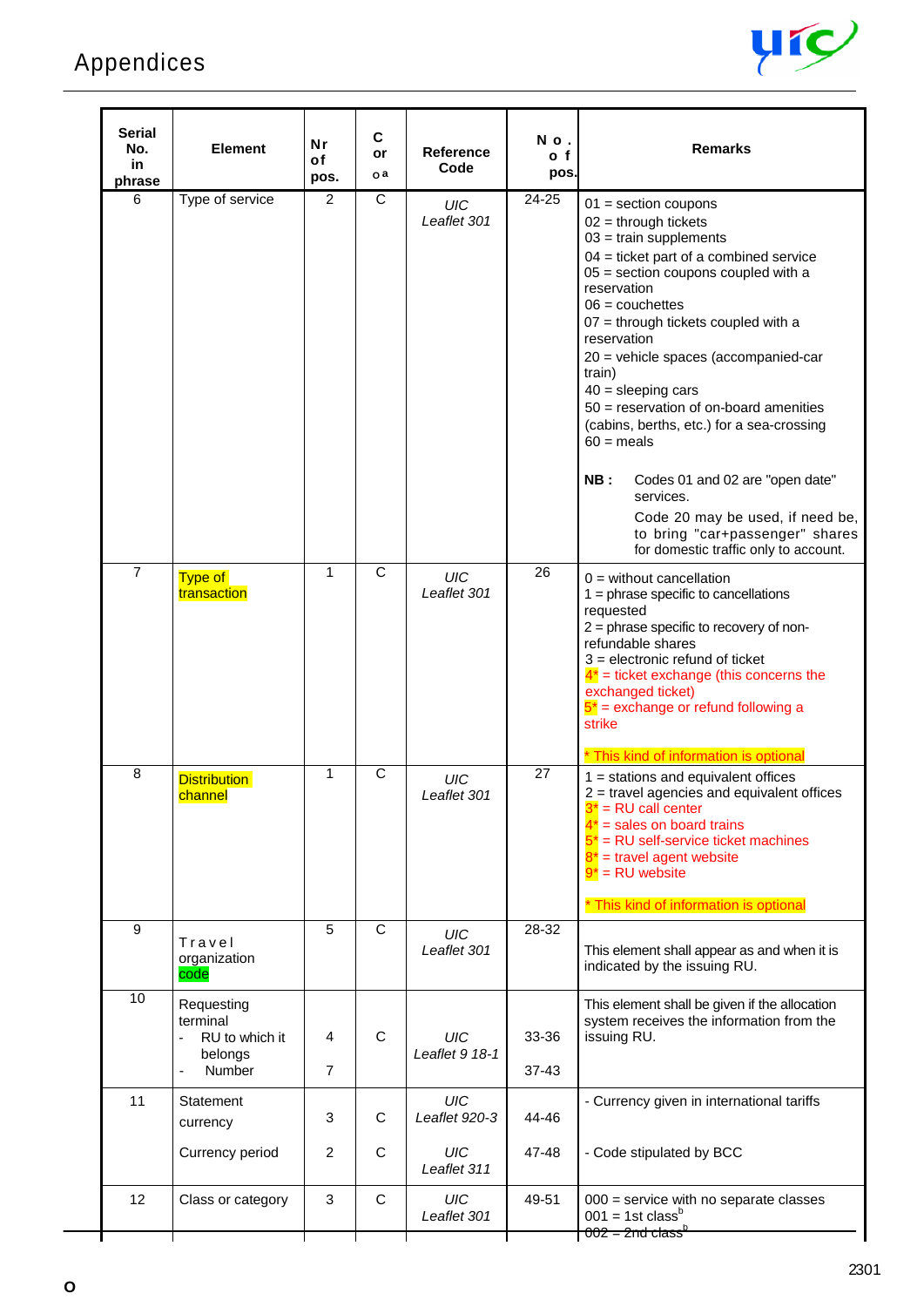

| <b>Serial</b><br>No.<br>in<br>phrase | <b>Element</b>                                                       | <b>Nr</b><br>οf<br>pos. | C<br>or<br>o a    | <b>Reference</b><br>Code                  | No.<br>o f<br>pos. | <b>Remarks</b>                                                                                                                                                                                                                                                                                                                                                                                                                                                                                                                                                                                                                        |
|--------------------------------------|----------------------------------------------------------------------|-------------------------|-------------------|-------------------------------------------|--------------------|---------------------------------------------------------------------------------------------------------------------------------------------------------------------------------------------------------------------------------------------------------------------------------------------------------------------------------------------------------------------------------------------------------------------------------------------------------------------------------------------------------------------------------------------------------------------------------------------------------------------------------------|
| 6                                    | Type of service                                                      | 2                       | C                 | UIC<br>Leaflet 301                        | $24 - 25$          | $01$ = section coupons<br>$02 =$ through tickets<br>$03 = \text{train}$ supplements<br>$04$ = ticket part of a combined service<br>$05$ = section coupons coupled with a<br>reservation<br>$06 = \text{couchettes}$<br>$07$ = through tickets coupled with a<br>reservation<br>20 = vehicle spaces (accompanied-car<br>train)<br>$40 =$ sleeping cars<br>$50$ = reservation of on-board amenities<br>(cabins, berths, etc.) for a sea-crossing<br>$60 =$ meals<br>NB:<br>Codes 01 and 02 are "open date"<br>services.<br>Code 20 may be used, if need be,<br>to bring "car+passenger" shares<br>for domestic traffic only to account. |
| $\overline{7}$                       | Type of<br>transaction                                               | 1                       | $\mathsf{C}$      | UIC<br>Leaflet 301                        | 26                 | $0 =$ without cancellation<br>$1 =$ phrase specific to cancellations<br>requested<br>2 = phrase specific to recovery of non-<br>refundable shares<br>$3$ = electronic refund of ticket<br>$4^*$ = ticket exchange (this concerns the<br>exchanged ticket)<br>$5^*$ = exchange or refund following a<br>strike                                                                                                                                                                                                                                                                                                                         |
| 8                                    | <b>Distribution</b><br>channel                                       | 1                       | C                 | UIC<br>I eaflet 301                       | 27                 | * This kind of information is optional<br>$1 =$ stations and equivalent offices<br>$2$ = travel agencies and equivalent offices<br>$=$ RU call center<br>$4^*$ = sales on board trains<br>$5^*$ = RU self-service ticket machines<br>$8^*$ = travel agent website<br>$9^*$ = RU website<br>* This kind of information is optional                                                                                                                                                                                                                                                                                                     |
| 9                                    | Travel<br>organization<br>code                                       | 5                       | $\mathsf{C}$      | <b>UIC</b><br>Leaflet 301                 | 28-32              | This element shall appear as and when it is<br>indicated by the issuing RU.                                                                                                                                                                                                                                                                                                                                                                                                                                                                                                                                                           |
| 10                                   | Requesting<br>terminal<br>RU to which it<br>belongs<br><b>Number</b> | 4<br>$\overline{7}$     | C                 | <b>UIC</b><br>Leaflet 9 18-1              | 33-36<br>$37 - 43$ | This element shall be given if the allocation<br>system receives the information from the<br>issuing RU.                                                                                                                                                                                                                                                                                                                                                                                                                                                                                                                              |
| 11                                   | Statement<br>currency<br>Currency period                             | 3<br>$\overline{c}$     | $\mathsf{C}$<br>C | <b>UIC</b><br>Leaflet 920-3<br><b>UIC</b> | 44-46<br>47-48     | - Currency given in international tariffs<br>- Code stipulated by BCC                                                                                                                                                                                                                                                                                                                                                                                                                                                                                                                                                                 |
| 12                                   |                                                                      | 3                       | C                 | Leaflet 311<br>UIC                        | 49-51              |                                                                                                                                                                                                                                                                                                                                                                                                                                                                                                                                                                                                                                       |
|                                      | Class or category                                                    |                         |                   | Leaflet 301                               |                    | $000$ = service with no separate classes<br>$001 = 1$ st class <sup>b</sup><br>$002 = 2nd$ class <sup>1</sup>                                                                                                                                                                                                                                                                                                                                                                                                                                                                                                                         |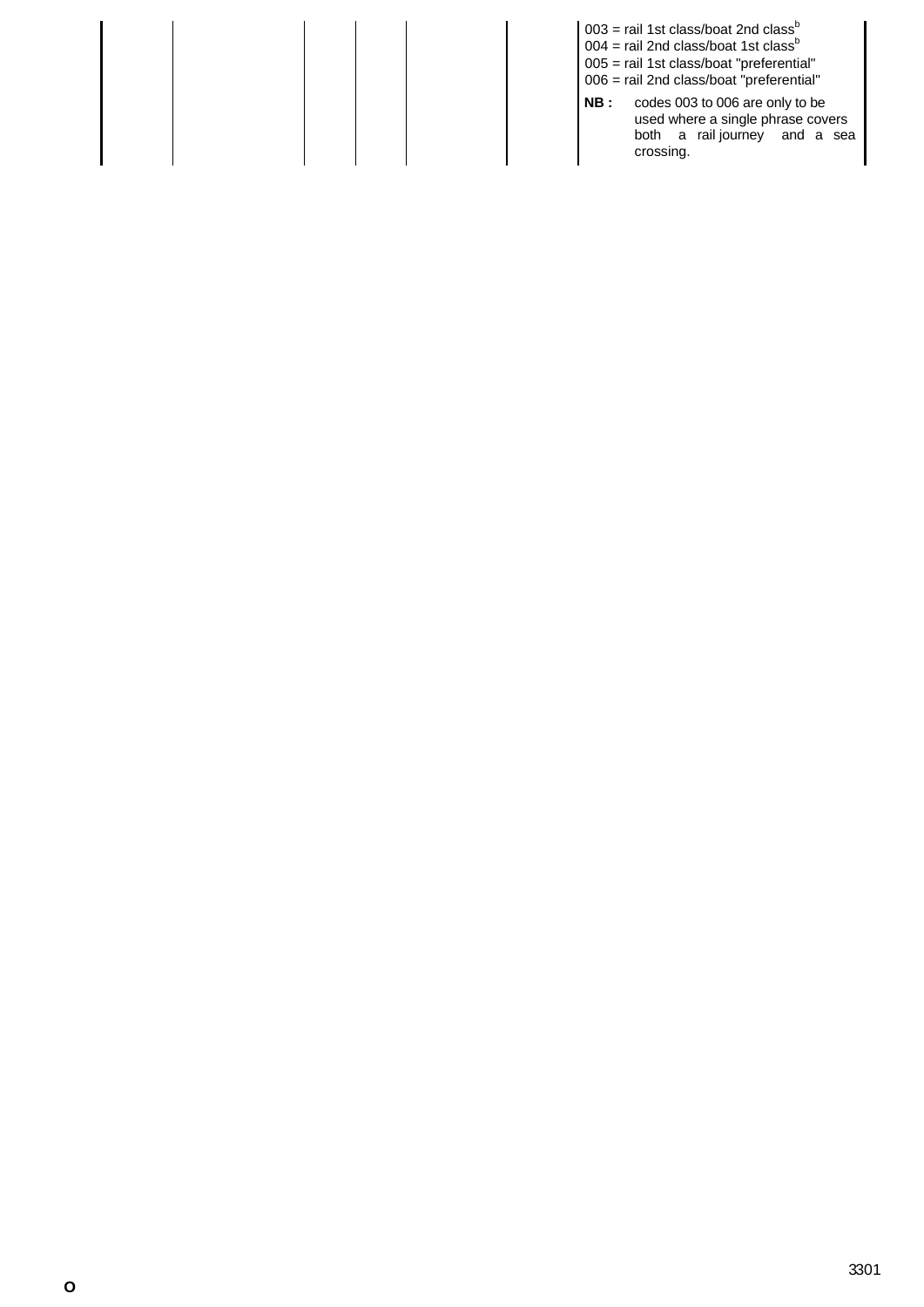|  |  |      | $003$ = rail 1st class/boat 2nd class <sup>b</sup><br>$004$ = rail 2nd class/boat 1st class <sup>b</sup><br>005 = rail 1st class/boat "preferential"<br>006 = rail 2nd class/boat "preferential" |
|--|--|------|--------------------------------------------------------------------------------------------------------------------------------------------------------------------------------------------------|
|  |  | NB : | codes 003 to 006 are only to be<br>used where a single phrase covers<br>both a rail journey and a sea<br>crossing.                                                                               |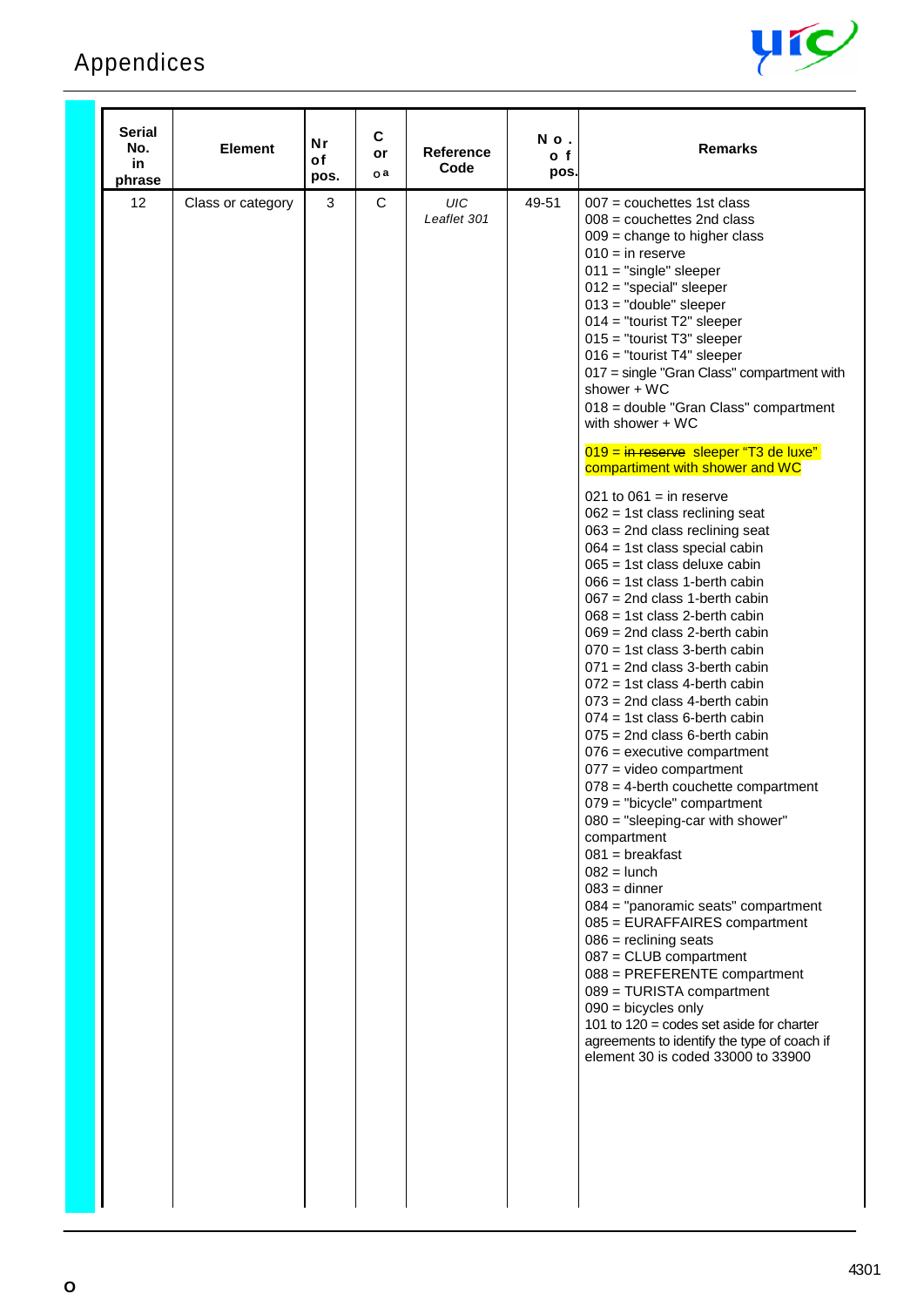# Appendices



| <b>Serial</b><br>No.<br>in<br>phrase | <b>Element</b>    | Nr<br>of<br>pos. | C<br>or<br>o a | Reference<br>Code  | No.<br>o f<br>pos. | <b>Remarks</b>                                                                                                                                                                                                                                                                                                                                                                                                                                                                                                                                                                                                                                                                                                                                                                                                                                                                                                                                                                                                                                                                                                                                                                                                                                                                                                                                                                                                                                                                                                                                                                                                                                                                 |
|--------------------------------------|-------------------|------------------|----------------|--------------------|--------------------|--------------------------------------------------------------------------------------------------------------------------------------------------------------------------------------------------------------------------------------------------------------------------------------------------------------------------------------------------------------------------------------------------------------------------------------------------------------------------------------------------------------------------------------------------------------------------------------------------------------------------------------------------------------------------------------------------------------------------------------------------------------------------------------------------------------------------------------------------------------------------------------------------------------------------------------------------------------------------------------------------------------------------------------------------------------------------------------------------------------------------------------------------------------------------------------------------------------------------------------------------------------------------------------------------------------------------------------------------------------------------------------------------------------------------------------------------------------------------------------------------------------------------------------------------------------------------------------------------------------------------------------------------------------------------------|
| 12                                   | Class or category | $\mathbf{3}$     | C              | UIC<br>Leaflet 301 | 49-51              | $007$ = couchettes 1st class<br>$008$ = couchettes 2nd class<br>$009$ = change to higher class<br>$010 =$ in reserve<br>$011 = "single" sleeper$<br>$012 = "special" sleeper$<br>$013$ = "double" sleeper<br>$014 =$ "tourist T2" sleeper<br>$015 =$ "tourist T3" sleeper<br>016 = "tourist T4" sleeper<br>017 = single "Gran Class" compartment with<br>shower + WC<br>018 = double "Gran Class" compartment<br>with shower + WC<br>019 = in reserve sleeper "T3 de luxe"<br>compartiment with shower and WC<br>021 to $061 =$ in reserve<br>$062 = 1st$ class reclining seat<br>$063$ = 2nd class reclining seat<br>$064 = 1st$ class special cabin<br>$065 = 1$ st class deluxe cabin<br>$066 = 1$ st class 1-berth cabin<br>$067$ = 2nd class 1-berth cabin<br>$068 = 1$ st class 2-berth cabin<br>$069 = 2nd$ class 2-berth cabin<br>$070 = 1$ st class 3-berth cabin<br>$071$ = 2nd class 3-berth cabin<br>$072 = 1$ st class 4-berth cabin<br>$073$ = 2nd class 4-berth cabin<br>$074 = 1st$ class 6-berth cabin<br>$075 = 2$ nd class 6-berth cabin<br>$076$ = executive compartment<br>$077$ = video compartment<br>$078 = 4$ -berth couchette compartment<br>079 = "bicycle" compartment<br>$080 =$ "sleeping-car with shower"<br>compartment<br>$081$ = breakfast<br>$082 =$ lunch<br>$083 =$ dinner<br>084 = "panoramic seats" compartment<br>085 = EURAFFAIRES compartment<br>$086$ = reclining seats<br>$087 =$ CLUB compartment<br>088 = PREFERENTE compartment<br>089 = TURISTA compartment<br>$090 =$ bicycles only<br>101 to $120 = \text{codes}$ set aside for charter<br>agreements to identify the type of coach if<br>element 30 is coded 33000 to 33900 |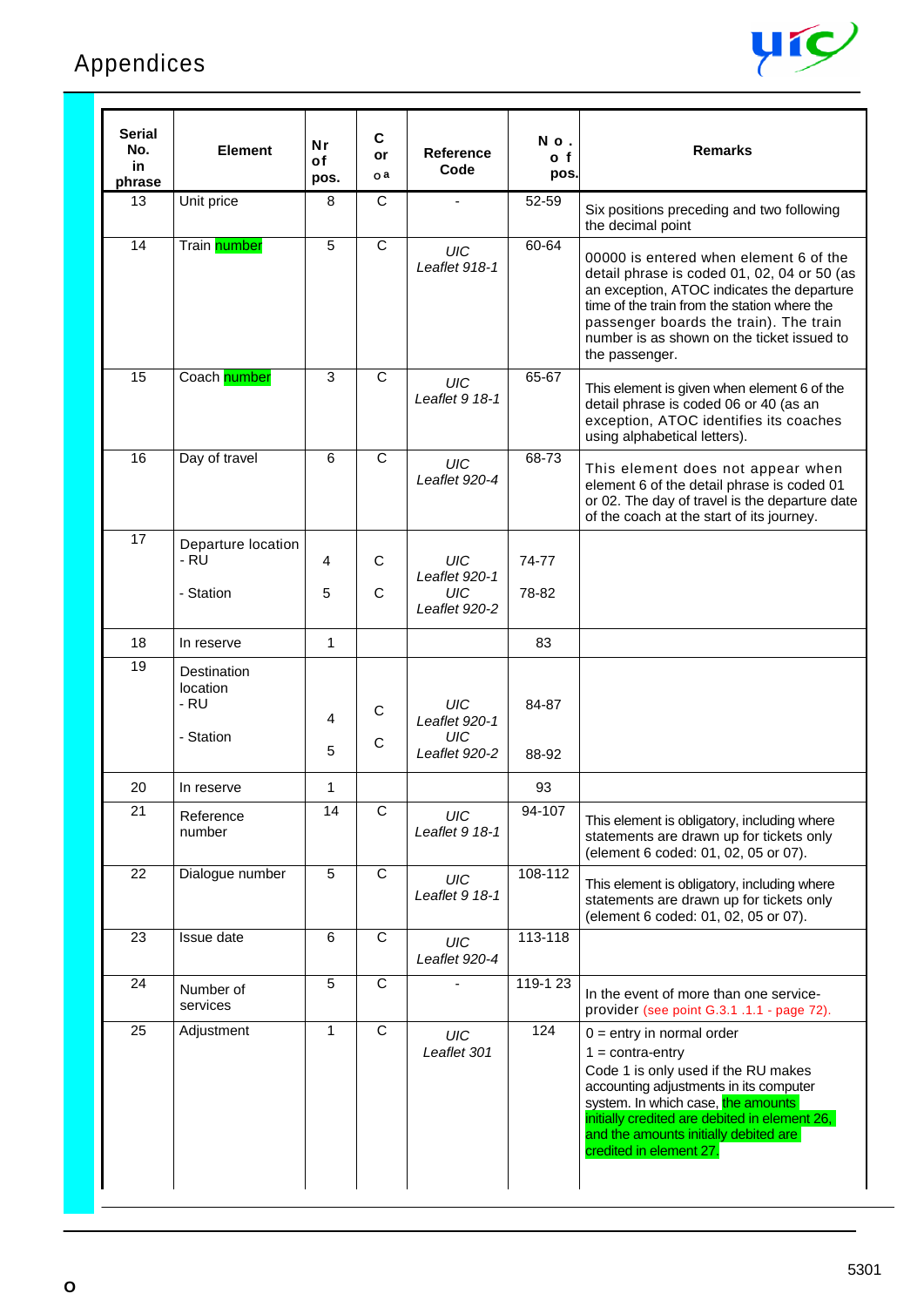

| <b>Serial</b><br>No.<br>in<br>phrase | Element                                      | <b>Nr</b><br>of<br>pos. | C<br>or<br>οa    | <b>Reference</b><br>Code                                   | No.<br>o f<br>pos. | <b>Remarks</b>                                                                                                                                                                                                                                                                                       |
|--------------------------------------|----------------------------------------------|-------------------------|------------------|------------------------------------------------------------|--------------------|------------------------------------------------------------------------------------------------------------------------------------------------------------------------------------------------------------------------------------------------------------------------------------------------------|
| 13                                   | Unit price                                   | 8                       | C                |                                                            | 52-59              | Six positions preceding and two following<br>the decimal point                                                                                                                                                                                                                                       |
| 14                                   | Train number                                 | 5                       | $\mathsf{C}$     | <b>UIC</b><br>Leaflet 918-1                                | 60-64              | 00000 is entered when element 6 of the<br>detail phrase is coded 01, 02, 04 or 50 (as<br>an exception, ATOC indicates the departure<br>time of the train from the station where the<br>passenger boards the train). The train<br>number is as shown on the ticket issued to<br>the passenger.        |
| 15                                   | Coach number                                 | 3                       | $\mathsf{C}$     | <b>UIC</b><br>Leaflet 9 18-1                               | 65-67              | This element is given when element 6 of the<br>detail phrase is coded 06 or 40 (as an<br>exception, ATOC identifies its coaches<br>using alphabetical letters).                                                                                                                                      |
| 16                                   | Day of travel                                | 6                       | $\mathsf{C}$     | UIC<br>I eaflet 920-4                                      | 68-73              | This element does not appear when<br>element 6 of the detail phrase is coded 01<br>or 02. The day of travel is the departure date<br>of the coach at the start of its journey.                                                                                                                       |
| 17                                   | Departure location<br>- RU                   | 4                       | C                | <b>UIC</b><br>Leaflet 920-1                                | 74-77              |                                                                                                                                                                                                                                                                                                      |
|                                      | - Station                                    | 5                       | C                | <b>UIC</b><br>Leaflet 920-2                                | 78-82              |                                                                                                                                                                                                                                                                                                      |
| 18                                   | In reserve                                   | $\mathbf{1}$            |                  |                                                            | 83                 |                                                                                                                                                                                                                                                                                                      |
| 19                                   | Destination<br>location<br>- RU<br>- Station | 4<br>5                  | $\mathsf C$<br>C | <b>UIC</b><br>Leaflet 920-1<br><b>UIC</b><br>Leaflet 920-2 | 84-87<br>88-92     |                                                                                                                                                                                                                                                                                                      |
| 20                                   | In reserve                                   | $\mathbf{1}$            |                  |                                                            | 93                 |                                                                                                                                                                                                                                                                                                      |
| 21                                   | Reference<br>number                          | 14                      | C                | UIC<br>Leaflet 9 18-1                                      | 94-107             | This element is obligatory, including where<br>statements are drawn up for tickets only<br>(element 6 coded: 01, 02, 05 or 07).                                                                                                                                                                      |
| 22                                   | Dialogue number                              | $\sqrt{5}$              | C                | <b>UIC</b><br>Leaflet 9 18-1                               | 108-112            | This element is obligatory, including where<br>statements are drawn up for tickets only<br>(element 6 coded: 01, 02, 05 or 07).                                                                                                                                                                      |
| 23                                   | Issue date                                   | 6                       | C                | UIC<br>Leaflet 920-4                                       | 113-118            |                                                                                                                                                                                                                                                                                                      |
| 24                                   | Number of<br>services                        | 5                       | $\overline{C}$   |                                                            | 119-1 23           | In the event of more than one service-<br>provider (see point G.3.1 .1.1 - page 72).                                                                                                                                                                                                                 |
| 25                                   | Adjustment                                   | 1                       | C                | UIC<br>Leaflet 301                                         | 124                | $0 =$ entry in normal order<br>$1 = \text{contra-entry}$<br>Code 1 is only used if the RU makes<br>accounting adjustments in its computer<br>system. In which case, the amounts<br>initially credited are debited in element 26,<br>and the amounts initially debited are<br>credited in element 27. |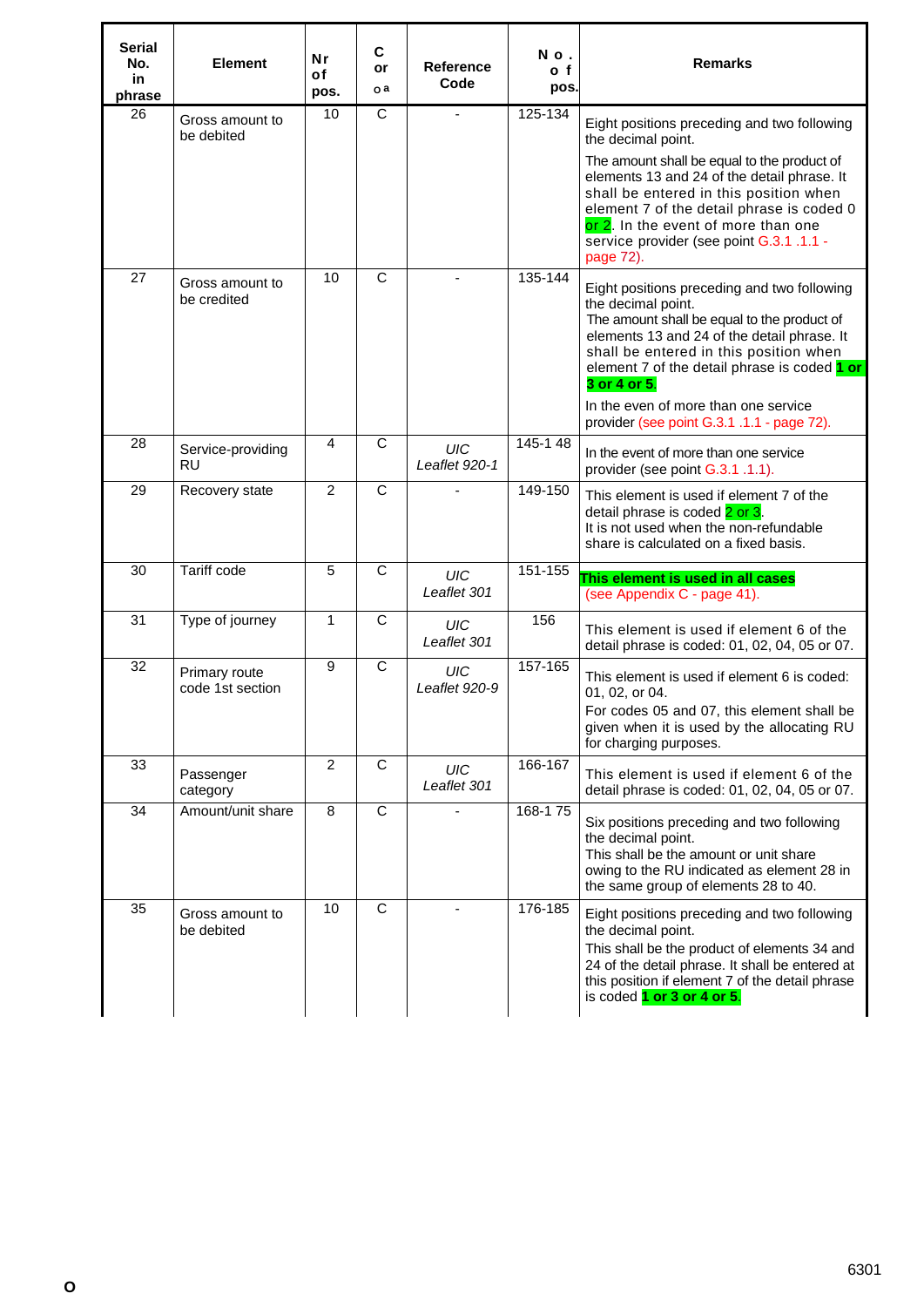| <b>Serial</b><br>No.<br>in.<br>phrase | <b>Element</b>                    | <b>Nr</b><br>of<br>pos. | C<br>or<br>o a | <b>Reference</b><br>Code    | No.<br>o f<br>pos. | <b>Remarks</b>                                                                                                                                                                                                                                                                                                                                                  |
|---------------------------------------|-----------------------------------|-------------------------|----------------|-----------------------------|--------------------|-----------------------------------------------------------------------------------------------------------------------------------------------------------------------------------------------------------------------------------------------------------------------------------------------------------------------------------------------------------------|
| 26                                    | Gross amount to<br>be debited     | 10                      | C              |                             | 125-134            | Eight positions preceding and two following<br>the decimal point.                                                                                                                                                                                                                                                                                               |
|                                       |                                   |                         |                |                             |                    | The amount shall be equal to the product of<br>elements 13 and 24 of the detail phrase. It<br>shall be entered in this position when<br>element 7 of the detail phrase is coded 0<br>or 2. In the event of more than one<br>service provider (see point G.3.1 .1.1 -<br>page 72).                                                                               |
| $\overline{27}$                       | Gross amount to<br>be credited    | 10                      | $\mathsf{C}$   |                             | 135-144            | Eight positions preceding and two following<br>the decimal point.<br>The amount shall be equal to the product of<br>elements 13 and 24 of the detail phrase. It<br>shall be entered in this position when<br>element 7 of the detail phrase is coded 1 or<br>3 or 4 or 5.<br>In the even of more than one service<br>provider (see point G.3.1 .1.1 - page 72). |
| 28                                    | Service-providing<br><b>RU</b>    | 4                       | C              | <b>UIC</b><br>Leaflet 920-1 | 145-148            | In the event of more than one service<br>provider (see point G.3.1 .1.1).                                                                                                                                                                                                                                                                                       |
| 29                                    | Recovery state                    | $\overline{2}$          | $\mathsf{C}$   |                             | 149-150            | This element is used if element 7 of the<br>detail phrase is coded 2 or 3.<br>It is not used when the non-refundable<br>share is calculated on a fixed basis.                                                                                                                                                                                                   |
| 30                                    | <b>Tariff code</b>                | 5                       | $\overline{C}$ | <b>UIC</b><br>Leaflet 301   | 151-155            | This element is used in all cases<br>(see Appendix C - page 41).                                                                                                                                                                                                                                                                                                |
| 31                                    | Type of journey                   | $\mathbf{1}$            | C              | UIC<br>Leaflet 301          | 156                | This element is used if element 6 of the<br>detail phrase is coded: 01, 02, 04, 05 or 07.                                                                                                                                                                                                                                                                       |
| 32                                    | Primary route<br>code 1st section | 9                       | C              | <b>UIC</b><br>Leaflet 920-9 | 157-165            | This element is used if element 6 is coded:<br>01, 02, or 04.<br>For codes 05 and 07, this element shall be<br>given when it is used by the allocating RU<br>for charging purposes.                                                                                                                                                                             |
| 33                                    | Passenger<br>category             | $\overline{2}$          | $\overline{C}$ | <b>UIC</b><br>Leaflet 301   | 166-167            | This element is used if element 6 of the<br>detail phrase is coded: 01, 02, 04, 05 or 07.                                                                                                                                                                                                                                                                       |
| 34                                    | Amount/unit share                 | 8                       | $\overline{C}$ | ÷                           | 168-175            | Six positions preceding and two following<br>the decimal point.<br>This shall be the amount or unit share<br>owing to the RU indicated as element 28 in<br>the same group of elements 28 to 40.                                                                                                                                                                 |
| 35                                    | Gross amount to<br>be debited     | 10                      | C              | $\blacksquare$              | 176-185            | Eight positions preceding and two following<br>the decimal point.<br>This shall be the product of elements 34 and<br>24 of the detail phrase. It shall be entered at<br>this position if element 7 of the detail phrase<br>is coded 1 or 3 or 4 or 5.                                                                                                           |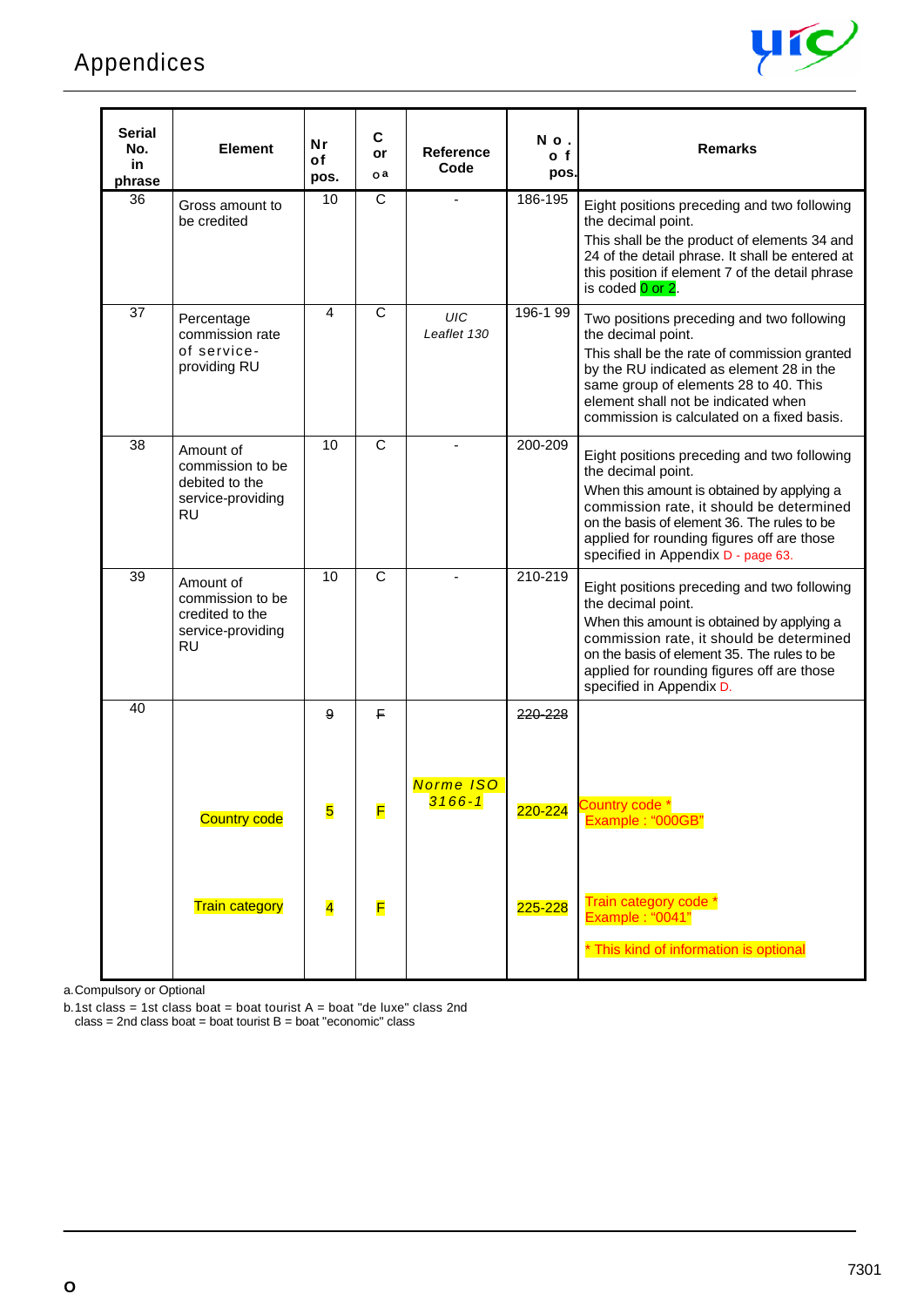## Appendices



| <b>Serial</b><br>No.<br>in<br>phrase | Element                                                                            | <b>Nr</b><br>of<br>pos. | C<br>or<br>o a | <b>Reference</b><br>Code | No.<br>o f<br>pos. | <b>Remarks</b>                                                                                                                                                                                                                                                                                 |
|--------------------------------------|------------------------------------------------------------------------------------|-------------------------|----------------|--------------------------|--------------------|------------------------------------------------------------------------------------------------------------------------------------------------------------------------------------------------------------------------------------------------------------------------------------------------|
| 36                                   | Gross amount to<br>be credited                                                     | 10                      | C              |                          | 186-195            | Eight positions preceding and two following<br>the decimal point.<br>This shall be the product of elements 34 and<br>24 of the detail phrase. It shall be entered at<br>this position if element 7 of the detail phrase<br>is coded 0 or 2.                                                    |
| 37                                   | Percentage<br>commission rate<br>of service-<br>providing RU                       | 4                       | C              | UIC<br>Leaflet 130       | 196-199            | Two positions preceding and two following<br>the decimal point.<br>This shall be the rate of commission granted<br>by the RU indicated as element 28 in the<br>same group of elements 28 to 40. This<br>element shall not be indicated when<br>commission is calculated on a fixed basis.      |
| 38                                   | Amount of<br>commission to be<br>debited to the<br>service-providing<br><b>RU</b>  | 10                      | $\mathsf{C}$   |                          | 200-209            | Eight positions preceding and two following<br>the decimal point.<br>When this amount is obtained by applying a<br>commission rate, it should be determined<br>on the basis of element 36. The rules to be<br>applied for rounding figures off are those<br>specified in Appendix D - page 63. |
| 39                                   | Amount of<br>commission to be<br>credited to the<br>service-providing<br><b>RU</b> | 10                      | $\overline{C}$ |                          | 210-219            | Eight positions preceding and two following<br>the decimal point.<br>When this amount is obtained by applying a<br>commission rate, it should be determined<br>on the basis of element 35. The rules to be<br>applied for rounding figures off are those<br>specified in Appendix D.           |
| 40                                   |                                                                                    | 9<br>5                  | F.<br>F        | Norme ISO<br>$3166 - 1$  | 220-228<br>220-224 | Country code *                                                                                                                                                                                                                                                                                 |
|                                      | <b>Country code</b><br><b>Train category</b>                                       | $\overline{\mathbf{4}}$ | F              |                          | 225-228            | Example: "000GB"<br>Train category code *<br>Example: "0041"<br>* This kind of information is optional                                                                                                                                                                                         |

a.Compulsory or Optional

b.1st class = 1st class boat = boat tourist  $A =$  boat "de luxe" class 2nd  $class = 2nd$  class boat = boat tourist  $B = boat$  "economic" class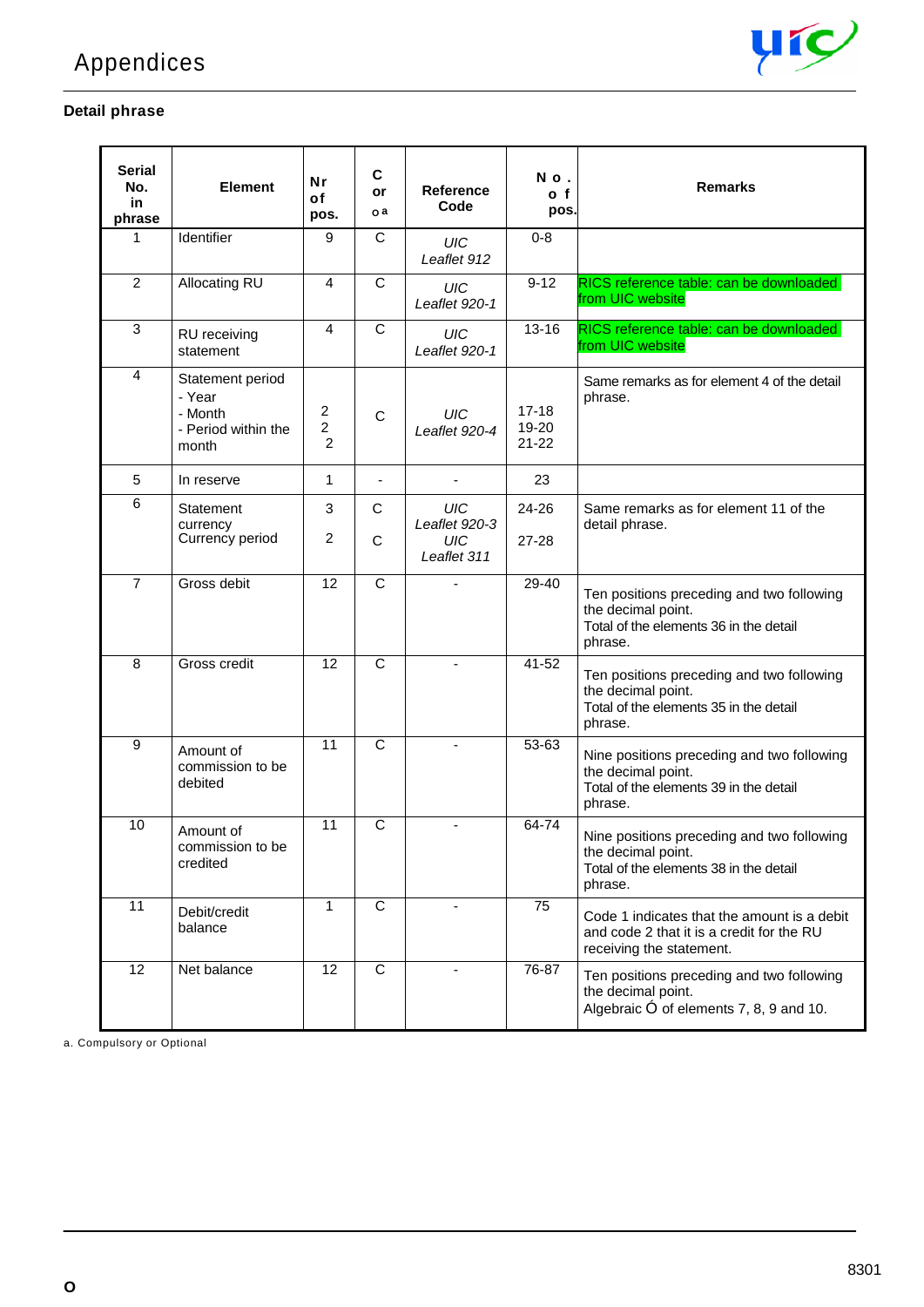

#### **Detail phrase**

| Serial<br>No.<br>in<br>phrase | <b>Element</b>                                                        | <b>Nr</b><br>of<br>pos.  | C<br>or<br>o a | <b>Reference</b><br>Code            | No.<br>o f<br>pos.              | <b>Remarks</b>                                                                                                        |
|-------------------------------|-----------------------------------------------------------------------|--------------------------|----------------|-------------------------------------|---------------------------------|-----------------------------------------------------------------------------------------------------------------------|
| 1                             | Identifier                                                            | 9                        | C              | UIC<br>Leaflet 912                  | $0 - 8$                         |                                                                                                                       |
| $\overline{2}$                | Allocating RU                                                         | $\overline{4}$           | $\mathsf{C}$   | UIC<br>Leaflet 920-1                | $9 - 12$                        | RICS reference table: can be downloaded<br>from UIC website                                                           |
| 3                             | RU receiving<br>statement                                             | 4                        | C              | <b>UIC</b><br>Leaflet 920-1         | $13 - 16$                       | RICS reference table: can be downloaded<br>from UIC website                                                           |
| 4                             | Statement period<br>- Year<br>- Month<br>- Period within the<br>month | 2<br>$\overline{c}$<br>2 | $\mathsf{C}$   | UIC<br>Leaflet 920-4                | $17 - 18$<br>19-20<br>$21 - 22$ | Same remarks as for element 4 of the detail<br>phrase.                                                                |
| $\sqrt{5}$                    | In reserve                                                            | 1                        | $\blacksquare$ | $\blacksquare$                      | 23                              |                                                                                                                       |
| 6                             | Statement                                                             | 3                        | $\mathsf{C}$   | <b>UIC</b>                          | 24-26                           | Same remarks as for element 11 of the                                                                                 |
|                               | currency<br>Currency period                                           | 2                        | C              | Leaflet 920-3<br>UIC<br>Leaflet 311 | $27 - 28$                       | detail phrase.                                                                                                        |
| $\overline{7}$                | Gross debit                                                           | $\overline{12}$          | $\mathsf{C}$   |                                     | $29 - 40$                       | Ten positions preceding and two following<br>the decimal point.<br>Total of the elements 36 in the detail<br>phrase.  |
| 8                             | Gross credit                                                          | 12                       | $\mathsf{C}$   | ÷                                   | 41-52                           | Ten positions preceding and two following<br>the decimal point.<br>Total of the elements 35 in the detail<br>phrase.  |
| 9                             | Amount of<br>commission to be<br>debited                              | 11                       | $\overline{C}$ | $\blacksquare$                      | 53-63                           | Nine positions preceding and two following<br>the decimal point.<br>Total of the elements 39 in the detail<br>phrase. |
| 10                            | Amount of<br>commission to be<br>credited                             | 11                       | $\overline{C}$ |                                     | 64-74                           | Nine positions preceding and two following<br>the decimal point.<br>Total of the elements 38 in the detail<br>phrase. |
| 11                            | Debit/credit<br>balance                                               | 1                        | C              |                                     | 75                              | Code 1 indicates that the amount is a debit<br>and code 2 that it is a credit for the RU<br>receiving the statement.  |
| 12                            | Net balance                                                           | 12                       | $\mathsf{C}$   | $\blacksquare$                      | 76-87                           | Ten positions preceding and two following<br>the decimal point.<br>Algebraic Ó of elements 7, 8, 9 and 10.            |

a. Compulsory or Optional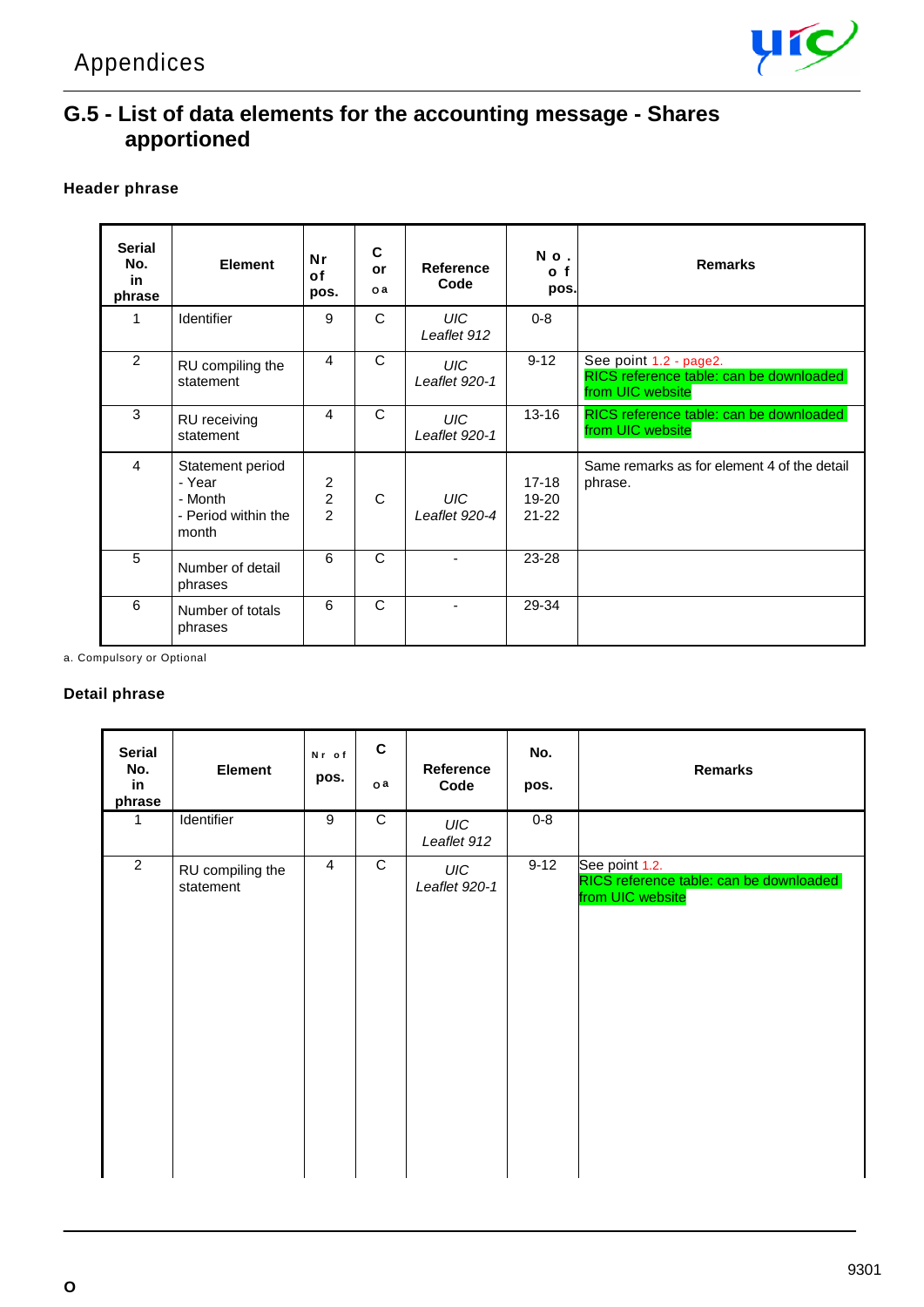

## **G.5 - List of data elements for the accounting message - Shares apportioned**

#### **Header phrase**

| <b>Serial</b><br>No.<br>in<br>phrase | <b>Element</b>                                                        | Nr<br>of<br>pos.                               | C<br>or<br>o a | Reference<br>Code           | No.<br>o f<br>pos.            | <b>Remarks</b>                                                                        |
|--------------------------------------|-----------------------------------------------------------------------|------------------------------------------------|----------------|-----------------------------|-------------------------------|---------------------------------------------------------------------------------------|
| 1                                    | Identifier                                                            | 9                                              | C              | UIC-<br>Leaflet 912         | $0 - 8$                       |                                                                                       |
| 2                                    | RU compiling the<br>statement                                         | 4                                              | C              | UIC-<br>Leaflet 920-1       | $9 - 12$                      | See point 1.2 - page2.<br>RICS reference table: can be downloaded<br>from UIC website |
| 3                                    | RU receiving<br>statement                                             | 4                                              | $\mathsf{C}$   | UIC-<br>Leaflet 920-1       | $13 - 16$                     | RICS reference table: can be downloaded<br>from UIC website                           |
| 4                                    | Statement period<br>- Year<br>- Month<br>- Period within the<br>month | 2<br>$\overline{\mathbf{c}}$<br>$\overline{2}$ | C              | <b>UIC</b><br>Leaflet 920-4 | $17-18$<br>19-20<br>$21 - 22$ | Same remarks as for element 4 of the detail<br>phrase.                                |
| 5                                    | Number of detail<br>phrases                                           | 6                                              | C              |                             | 23-28                         |                                                                                       |
| 6                                    | Number of totals<br>phrases                                           | 6                                              | $\mathsf{C}$   |                             | 29-34                         |                                                                                       |

a. Compulsory or Optional

#### **Detail phrase**

| <b>Serial</b><br>No.<br>in<br>phrase | <b>Element</b>                | Nr of<br>pos.  | $\mathbf c$<br>oa | Reference<br>Code           | No.<br>pos. | <b>Remarks</b>                                                                |
|--------------------------------------|-------------------------------|----------------|-------------------|-----------------------------|-------------|-------------------------------------------------------------------------------|
| 1                                    | Identifier                    | $\overline{9}$ | $\overline{C}$    | UIC<br>Leaflet 912          | $0 - 8$     |                                                                               |
| $\overline{2}$                       | RU compiling the<br>statement | $\overline{4}$ | $\overline{C}$    | <b>UIC</b><br>Leaflet 920-1 | $9-12$      | See point 1.2.<br>RICS reference table: can be downloaded<br>from UIC website |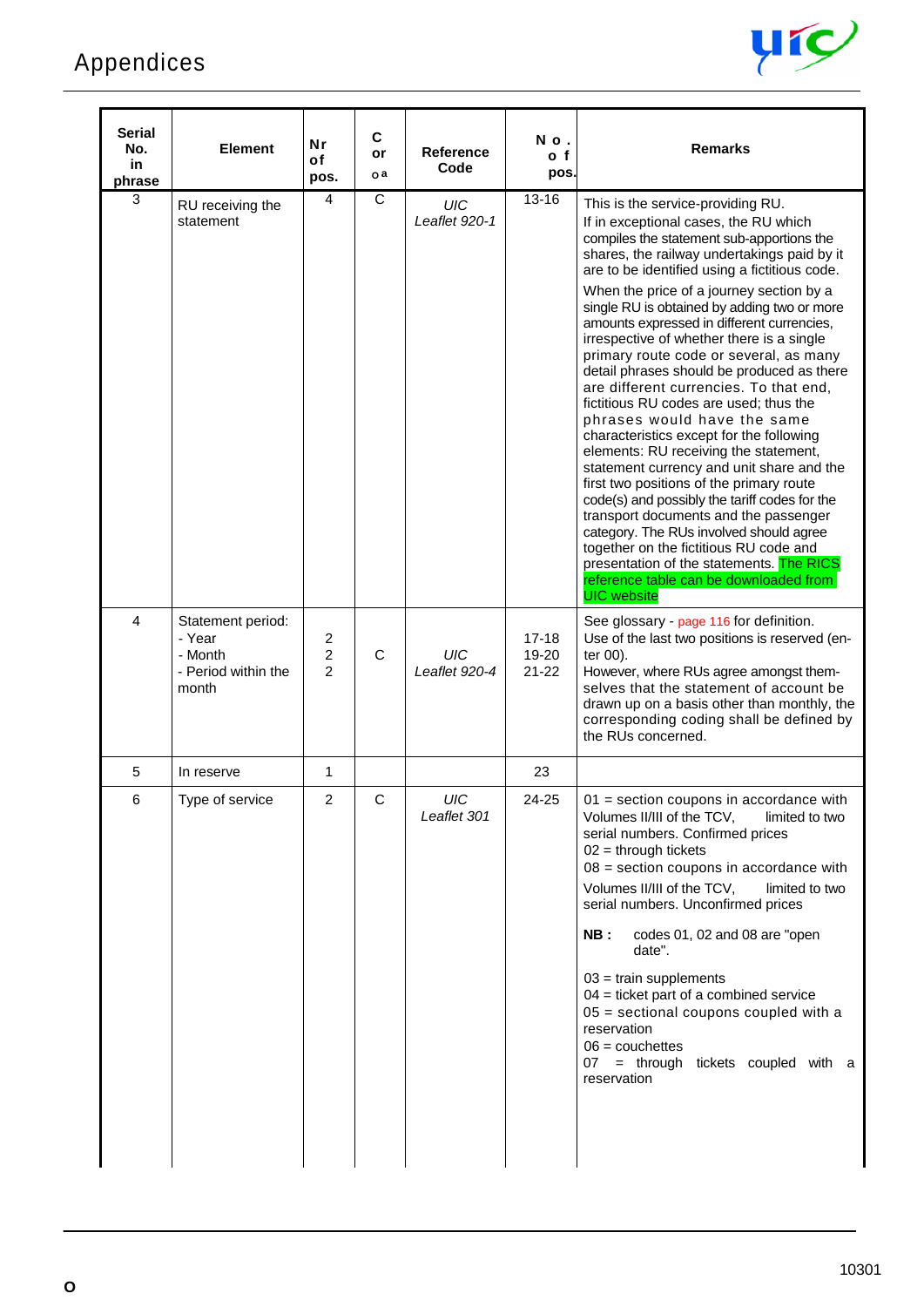

| Serial<br>No.<br>in<br>phrase | <b>Element</b>                                                         | Nr<br>οf<br>pos.         | C<br>or<br>o a | Reference<br>Code         | No.<br>o f<br>pos.              | <b>Remarks</b>                                                                                                                                                                                                                                                                                                                                                                                                                                                                                                                                                                                                                                                                                                                                                                                                                                                                                                                                                                                                                                                                                    |
|-------------------------------|------------------------------------------------------------------------|--------------------------|----------------|---------------------------|---------------------------------|---------------------------------------------------------------------------------------------------------------------------------------------------------------------------------------------------------------------------------------------------------------------------------------------------------------------------------------------------------------------------------------------------------------------------------------------------------------------------------------------------------------------------------------------------------------------------------------------------------------------------------------------------------------------------------------------------------------------------------------------------------------------------------------------------------------------------------------------------------------------------------------------------------------------------------------------------------------------------------------------------------------------------------------------------------------------------------------------------|
| 3                             | RU receiving the<br>statement                                          | 4                        | C              | UIC<br>Leaflet 920-1      | $13 - 16$                       | This is the service-providing RU.<br>If in exceptional cases, the RU which<br>compiles the statement sub-apportions the<br>shares, the railway undertakings paid by it<br>are to be identified using a fictitious code.<br>When the price of a journey section by a<br>single RU is obtained by adding two or more<br>amounts expressed in different currencies,<br>irrespective of whether there is a single<br>primary route code or several, as many<br>detail phrases should be produced as there<br>are different currencies. To that end,<br>fictitious RU codes are used; thus the<br>phrases would have the same<br>characteristics except for the following<br>elements: RU receiving the statement,<br>statement currency and unit share and the<br>first two positions of the primary route<br>code(s) and possibly the tariff codes for the<br>transport documents and the passenger<br>category. The RUs involved should agree<br>together on the fictitious RU code and<br>presentation of the statements. The RICS<br>reference table can be downloaded from<br><b>UIC</b> website |
| $\overline{4}$                | Statement period:<br>- Year<br>- Month<br>- Period within the<br>month | 2<br>$\overline{c}$<br>2 | C              | UIC<br>Leaflet 920-4      | $17 - 18$<br>19-20<br>$21 - 22$ | See glossary - page 116 for definition.<br>Use of the last two positions is reserved (en-<br>ter 00).<br>However, where RUs agree amongst them-<br>selves that the statement of account be<br>drawn up on a basis other than monthly, the<br>corresponding coding shall be defined by<br>the RUs concerned.                                                                                                                                                                                                                                                                                                                                                                                                                                                                                                                                                                                                                                                                                                                                                                                       |
| 5                             | In reserve                                                             | 1                        |                |                           | 23                              |                                                                                                                                                                                                                                                                                                                                                                                                                                                                                                                                                                                                                                                                                                                                                                                                                                                                                                                                                                                                                                                                                                   |
| 6                             | Type of service                                                        | $\overline{c}$           | C              | <b>UIC</b><br>Leaflet 301 | 24-25                           | $01$ = section coupons in accordance with<br>Volumes II/III of the TCV,<br>limited to two<br>serial numbers. Confirmed prices<br>$02 =$ through tickets<br>$08$ = section coupons in accordance with<br>Volumes II/III of the TCV,<br>limited to two<br>serial numbers. Unconfirmed prices<br>NB:<br>codes 01, 02 and 08 are "open"<br>date".<br>$03 = \text{train}$ supplements<br>$04$ = ticket part of a combined service<br>$05$ = sectional coupons coupled with a<br>reservation<br>$06 = \text{couchettes}$<br>07 = through tickets coupled with a<br>reservation                                                                                                                                                                                                                                                                                                                                                                                                                                                                                                                          |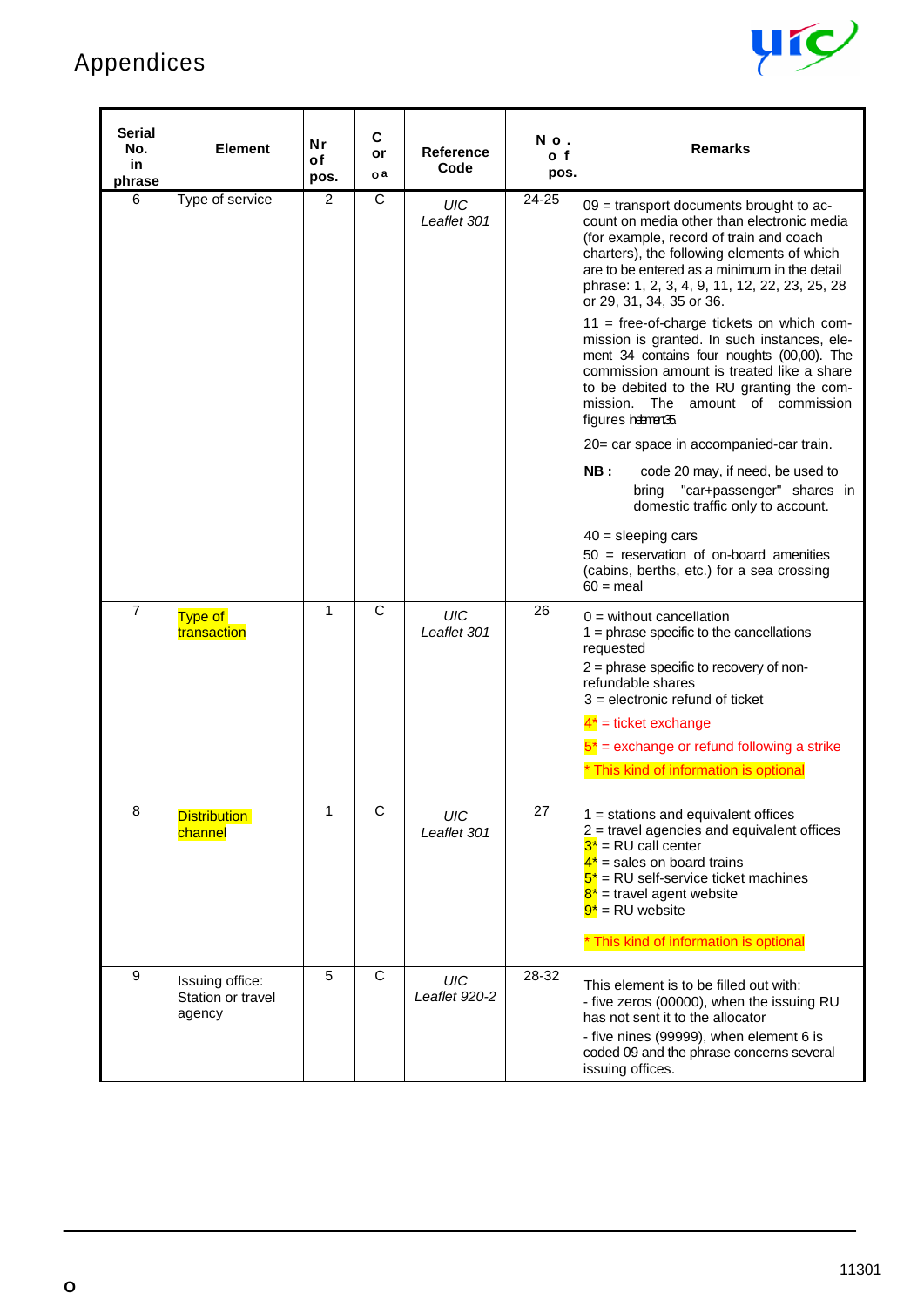

| Serial<br>No.<br>in<br>phrase | <b>Element</b>                                 | Nr<br>of<br>pos. | $\mathbf c$<br>or<br>o a | <b>Reference</b><br>Code    | No.<br>o f<br>pos. | <b>Remarks</b>                                                                                                                                                                                                                                                                                                   |
|-------------------------------|------------------------------------------------|------------------|--------------------------|-----------------------------|--------------------|------------------------------------------------------------------------------------------------------------------------------------------------------------------------------------------------------------------------------------------------------------------------------------------------------------------|
| 6                             | Type of service                                | 2                | C                        | <b>UIC</b><br>Leaflet 301   | 24-25              | 09 = transport documents brought to ac-<br>count on media other than electronic media<br>(for example, record of train and coach<br>charters), the following elements of which<br>are to be entered as a minimum in the detail<br>phrase: 1, 2, 3, 4, 9, 11, 12, 22, 23, 25, 28<br>or 29, 31, 34, 35 or 36.      |
|                               |                                                |                  |                          |                             |                    | $11$ = free-of-charge tickets on which com-<br>mission is granted. In such instances, ele-<br>ment 34 contains four noughts (00,00). The<br>commission amount is treated like a share<br>to be debited to the RU granting the com-<br>mission. The amount of commission<br>figures neternent 35                  |
|                               |                                                |                  |                          |                             |                    | 20= car space in accompanied-car train.                                                                                                                                                                                                                                                                          |
|                               |                                                |                  |                          |                             |                    | NB:<br>code 20 may, if need, be used to<br>"car+passenger" shares in<br>bring<br>domestic traffic only to account.                                                                                                                                                                                               |
|                               |                                                |                  |                          |                             |                    | $40 =$ sleeping cars<br>$50 =$ reservation of on-board amenities<br>(cabins, berths, etc.) for a sea crossing<br>$60 =$ meal                                                                                                                                                                                     |
| $\overline{7}$                | Type of<br>transaction                         | 1                | $\mathsf{C}$             | UIC<br>Leaflet 301          | 26                 | $0 =$ without cancellation<br>$1 =$ phrase specific to the cancellations<br>requested<br>2 = phrase specific to recovery of non-<br>refundable shares<br>$3$ = electronic refund of ticket<br>$4^*$ = ticket exchange<br>$5^*$ = exchange or refund following a strike<br>* This kind of information is optional |
| 8                             | <b>Distribution</b><br>channel                 | 1                | C                        | UIC<br>Leaflet 301          | 27                 | $1 =$ stations and equivalent offices<br>$2$ = travel agencies and equivalent offices<br>$3^*$ = RU call center<br>$4^*$ = sales on board trains<br>$5^*$ = RU self-service ticket machines<br>$8^*$ = travel agent website<br>$9^*$ = RU website<br>* This kind of information is optional                      |
| 9                             | Issuing office:<br>Station or travel<br>agency | 5                | $\overline{C}$           | <b>UIC</b><br>Leaflet 920-2 | 28-32              | This element is to be filled out with:<br>- five zeros (00000), when the issuing RU<br>has not sent it to the allocator<br>- five nines (99999), when element 6 is<br>coded 09 and the phrase concerns several<br>issuing offices.                                                                               |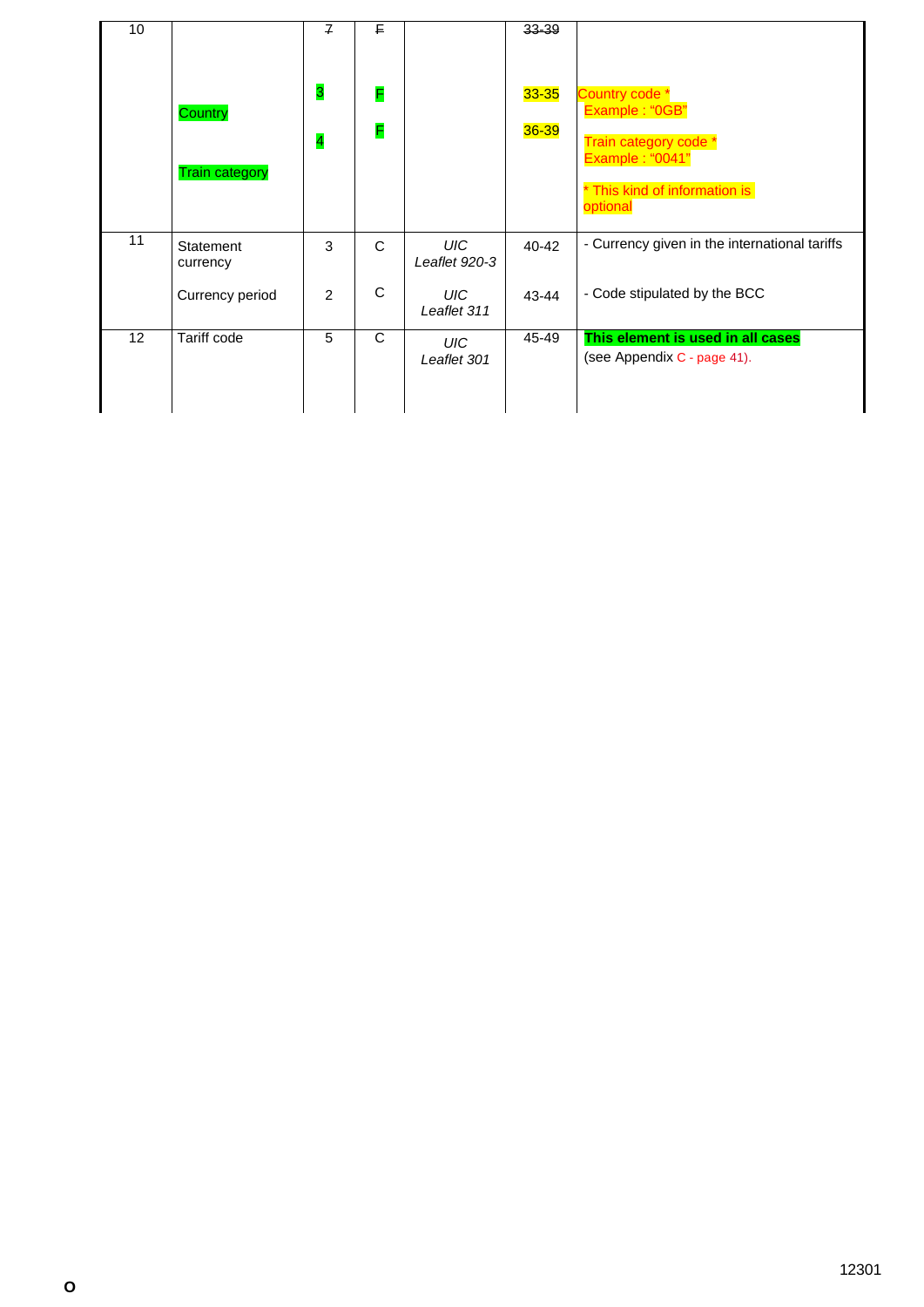| 10 |                                  | $\overline{f}$               | F.     |                             | 33-39                  |                                                                                                               |
|----|----------------------------------|------------------------------|--------|-----------------------------|------------------------|---------------------------------------------------------------------------------------------------------------|
|    | Country<br><b>Train category</b> | 3<br>$\overline{\mathbf{r}}$ | F<br>F |                             | $33 - 35$<br>$36 - 39$ | Country code *<br>Example: "0GB"<br>Train category code *<br>Example: "0041"<br>* This kind of information is |
| 11 | Statement<br>currency            | 3                            | C      | <b>UIC</b><br>Leaflet 920-3 | $40 - 42$              | optional<br>- Currency given in the international tariffs                                                     |
|    | Currency period                  | 2                            | C      | UIC-<br>Leaflet 311         | 43-44                  | - Code stipulated by the BCC                                                                                  |
| 12 | Tariff code                      | 5                            | C      | <b>UIC</b><br>Leaflet 301   | 45-49                  | This element is used in all cases<br>(see Appendix C - page 41).                                              |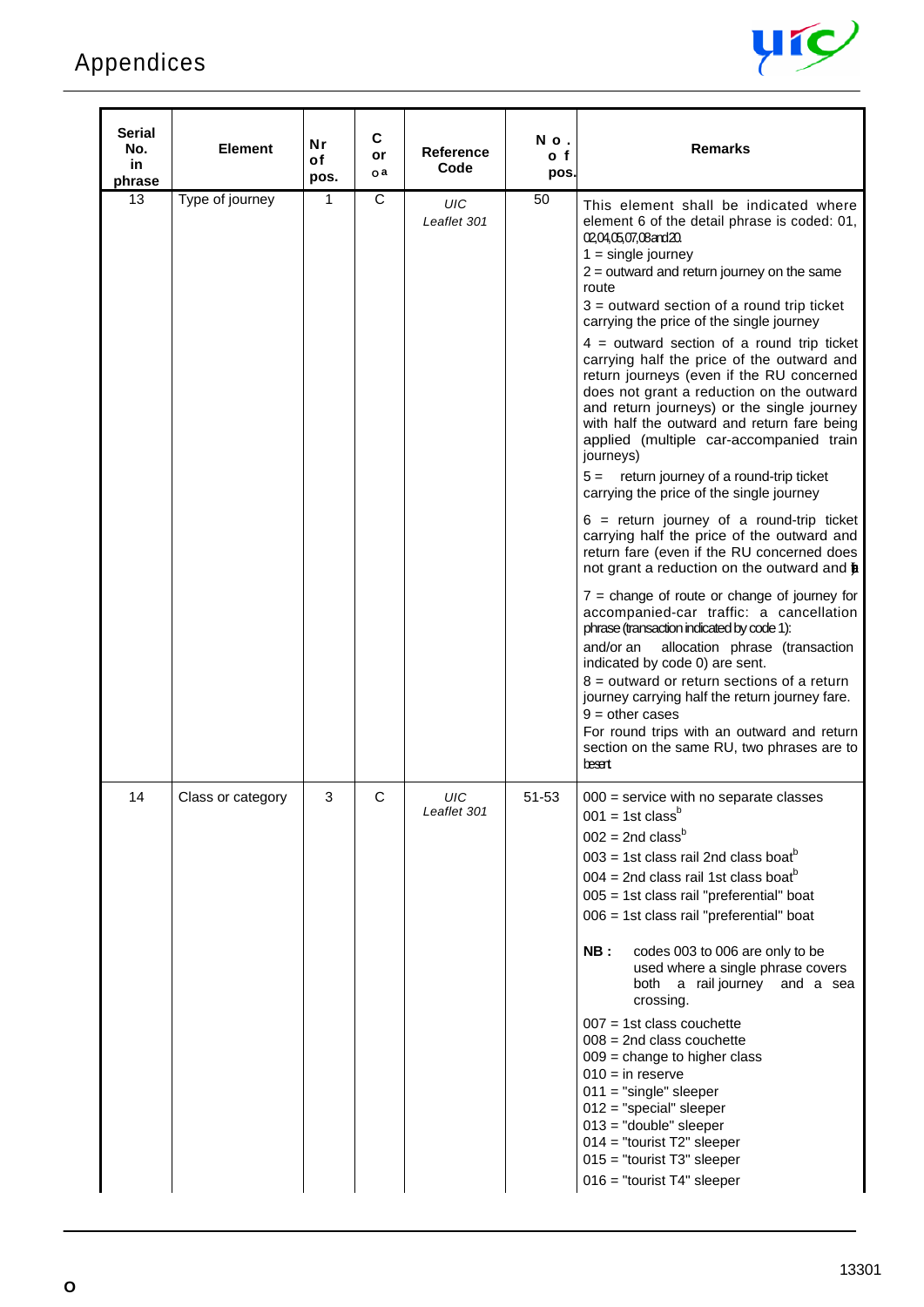

| <b>Serial</b><br>No.<br>in.<br>phrase | <b>Element</b>    | Nr<br>οf<br>pos. | C<br>or<br>o a | <b>Reference</b><br>Code  | No.<br>o f<br>pos. | <b>Remarks</b>                                                                                                                                                                                                                                                                                                                                                                                                                                                                                                                                                                                                                                                                                                                                                                                                                                                                                                                                                                                                                                                                                                                                                                                                                                                                                                                                                                               |
|---------------------------------------|-------------------|------------------|----------------|---------------------------|--------------------|----------------------------------------------------------------------------------------------------------------------------------------------------------------------------------------------------------------------------------------------------------------------------------------------------------------------------------------------------------------------------------------------------------------------------------------------------------------------------------------------------------------------------------------------------------------------------------------------------------------------------------------------------------------------------------------------------------------------------------------------------------------------------------------------------------------------------------------------------------------------------------------------------------------------------------------------------------------------------------------------------------------------------------------------------------------------------------------------------------------------------------------------------------------------------------------------------------------------------------------------------------------------------------------------------------------------------------------------------------------------------------------------|
| 13                                    | Type of journey   | 1                | C              | <b>UIC</b><br>Leaflet 301 | 50                 | This element shall be indicated where<br>element 6 of the detail phrase is coded: 01,<br>02,04,05,07,08 and 20.<br>$1 =$ single journey<br>$2$ = outward and return journey on the same<br>route<br>$3 =$ outward section of a round trip ticket<br>carrying the price of the single journey<br>$4 =$ outward section of a round trip ticket<br>carrying half the price of the outward and<br>return journeys (even if the RU concerned<br>does not grant a reduction on the outward<br>and return journeys) or the single journey<br>with half the outward and return fare being<br>applied (multiple car-accompanied train<br>journeys)<br>$5 =$ return journey of a round-trip ticket<br>carrying the price of the single journey<br>$6$ = return journey of a round-trip ticket<br>carrying half the price of the outward and<br>return fare (even if the RU concerned does<br>not grant a reduction on the outward and <b>b</b><br>$7$ = change of route or change of journey for<br>accompanied-car traffic: a cancellation<br>phrase (transaction indicated by code 1):<br>and/or an<br>allocation phrase (transaction<br>indicated by code 0) are sent.<br>$8 =$ outward or return sections of a return<br>journey carrying half the return journey fare.<br>$9 =$ other cases<br>For round trips with an outward and return<br>section on the same RU, two phrases are to<br>besent |
| 14                                    | Class or category | 3                | C              | UIC<br>Leaflet 301        | 51-53              | $000$ = service with no separate classes<br>$001 = 1$ st class <sup>b</sup><br>$002 = 2nd$ class <sup>b</sup><br>$003 = 1$ st class rail 2nd class boat <sup>b</sup><br>$004 = 2$ nd class rail 1st class boat <sup>b</sup><br>005 = 1st class rail "preferential" boat<br>006 = 1st class rail "preferential" boat<br>NB:<br>codes 003 to 006 are only to be<br>used where a single phrase covers<br>both a rail journey and a sea<br>crossing.<br>$007 = 1st$ class couchette<br>$008 = 2nd$ class couchette<br>$009$ = change to higher class<br>$010 = in reserve$<br>$011 = "single" sleeper$<br>$012 = "special" sleeper$<br>$013 = "double" sleeper$<br>$014 =$ "tourist T2" sleeper<br>$015 =$ "tourist T3" sleeper<br>$016$ = "tourist T4" sleeper                                                                                                                                                                                                                                                                                                                                                                                                                                                                                                                                                                                                                                  |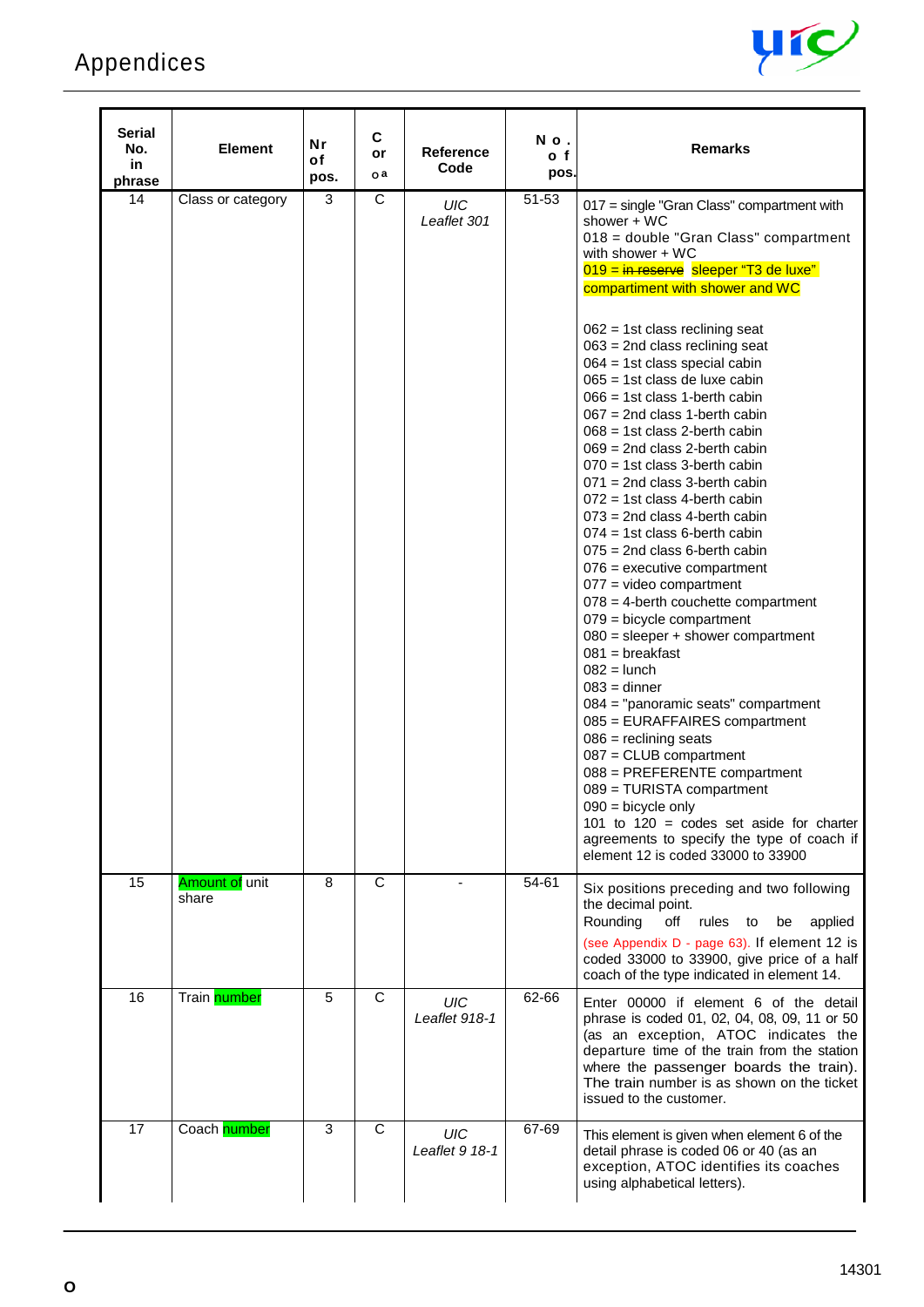# Appendices



| <b>Serial</b><br>No.<br>in<br>phrase | <b>Element</b>          | Nr<br>of<br>pos. | С<br>or<br>o a | <b>Reference</b><br>Code | No.<br>o f<br>pos. | <b>Remarks</b>                                                                                                                                                                                                                                                                                                                                                                                                                                                                                                                                                                                                                                                                                                                                                                                                                                                                                                                                                                                                                                                                                                                                                                                                                                                                                                                                           |
|--------------------------------------|-------------------------|------------------|----------------|--------------------------|--------------------|----------------------------------------------------------------------------------------------------------------------------------------------------------------------------------------------------------------------------------------------------------------------------------------------------------------------------------------------------------------------------------------------------------------------------------------------------------------------------------------------------------------------------------------------------------------------------------------------------------------------------------------------------------------------------------------------------------------------------------------------------------------------------------------------------------------------------------------------------------------------------------------------------------------------------------------------------------------------------------------------------------------------------------------------------------------------------------------------------------------------------------------------------------------------------------------------------------------------------------------------------------------------------------------------------------------------------------------------------------|
| 14                                   | Class or category       | 3                | C              | UIC<br>Leaflet 301       | 51-53              | 017 = single "Gran Class" compartment with<br>shower $+$ WC<br>018 = double "Gran Class" compartment<br>with shower + WC<br>$019 = \frac{in \text{ reserve}}{in \text{degree}}$ sleeper "T3 de luxe"<br>compartiment with shower and WC<br>$062 = 1st$ class reclining seat<br>$063$ = 2nd class reclining seat<br>$064 = 1st$ class special cabin<br>$065 = 1$ st class de luxe cabin<br>$066 = 1$ st class 1-berth cabin<br>$067 = 2nd$ class 1-berth cabin<br>$068 = 1$ st class 2-berth cabin<br>$069 = 2nd$ class 2-berth cabin<br>$070 = 1$ st class 3-berth cabin<br>$071$ = 2nd class 3-berth cabin<br>$072 = 1$ st class 4-berth cabin<br>$073$ = 2nd class 4-berth cabin<br>$074 = 1$ st class 6-berth cabin<br>$075$ = 2nd class 6-berth cabin<br>$076$ = executive compartment<br>$077$ = video compartment<br>$078 = 4$ -berth couchette compartment<br>$079$ = bicycle compartment<br>$080$ = sleeper + shower compartment<br>$081$ = breakfast<br>$082 =$ lunch<br>$083 =$ dinner<br>$084 =$ "panoramic seats" compartment<br>$085$ = EURAFFAIRES compartment<br>$086$ = reclining seats<br>$087 = CLUB$ compartment<br>088 = PREFERENTE compartment<br>089 = TURISTA compartment<br>$090 =$ bicycle only<br>101 to 120 = codes set aside for charter<br>agreements to specify the type of coach if<br>element 12 is coded 33000 to 33900 |
| 15                                   | Amount of unit<br>share | 8                | C              |                          | 54-61              | Six positions preceding and two following<br>the decimal point.<br>Rounding<br>off<br>rules<br>applied<br>to<br>be<br>(see Appendix D - page 63). If element 12 is<br>coded 33000 to 33900, give price of a half<br>coach of the type indicated in element 14.                                                                                                                                                                                                                                                                                                                                                                                                                                                                                                                                                                                                                                                                                                                                                                                                                                                                                                                                                                                                                                                                                           |
| 16                                   | Train number            | 5                | C              | UIC<br>Leaflet 918-1     | 62-66              | Enter 00000 if element 6 of the detail<br>phrase is coded 01, 02, 04, 08, 09, 11 or 50<br>(as an exception, ATOC indicates the<br>departure time of the train from the station<br>where the passenger boards the train).<br>The train number is as shown on the ticket<br>issued to the customer.                                                                                                                                                                                                                                                                                                                                                                                                                                                                                                                                                                                                                                                                                                                                                                                                                                                                                                                                                                                                                                                        |
| 17                                   | Coach number            | 3                | C              | UIC<br>Leaflet 9 18-1    | 67-69              | This element is given when element 6 of the<br>detail phrase is coded 06 or 40 (as an<br>exception, ATOC identifies its coaches<br>using alphabetical letters).                                                                                                                                                                                                                                                                                                                                                                                                                                                                                                                                                                                                                                                                                                                                                                                                                                                                                                                                                                                                                                                                                                                                                                                          |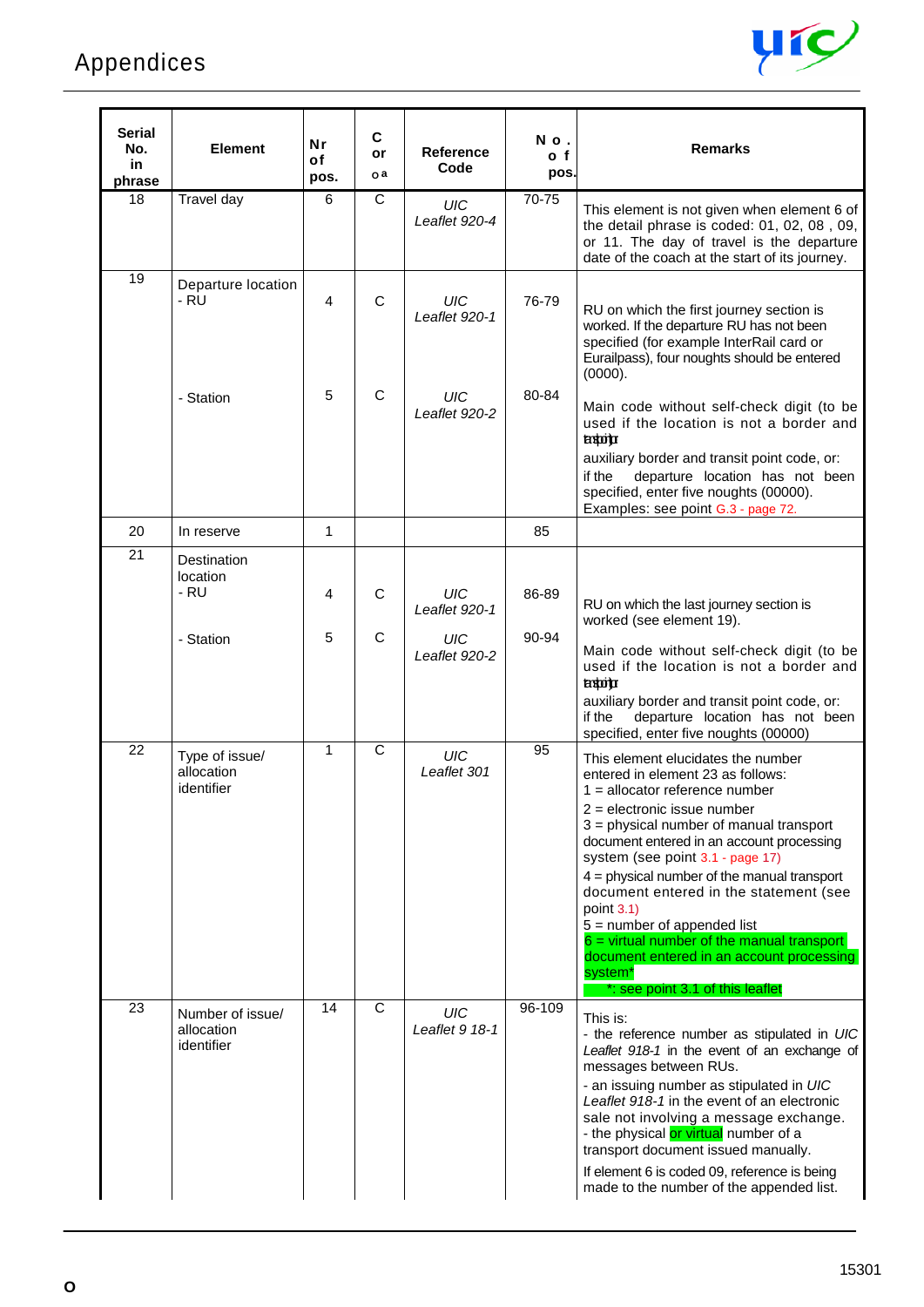

| Serial<br>No.<br>in<br>phrase | <b>Element</b>                               | <b>Nr</b><br>οf<br>pos. | $\mathbf c$<br>or<br>o a | <b>Reference</b><br>Code    | No.<br>o <sub>f</sub><br>pos. | <b>Remarks</b>                                                                                                                                                                                                                                                                                                                                                                                                                                                                                                                                                                |
|-------------------------------|----------------------------------------------|-------------------------|--------------------------|-----------------------------|-------------------------------|-------------------------------------------------------------------------------------------------------------------------------------------------------------------------------------------------------------------------------------------------------------------------------------------------------------------------------------------------------------------------------------------------------------------------------------------------------------------------------------------------------------------------------------------------------------------------------|
| 18                            | Travel day                                   | 6                       | $\mathsf{C}$             | UIC<br>Leaflet 920-4        | 70-75                         | This element is not given when element 6 of<br>the detail phrase is coded: 01, 02, 08, 09,<br>or 11. The day of travel is the departure<br>date of the coach at the start of its journey.                                                                                                                                                                                                                                                                                                                                                                                     |
| 19                            | Departure location<br>- RU                   | 4                       | $\mathsf{C}$             | UIC<br>Leaflet 920-1        | 76-79                         | RU on which the first journey section is<br>worked. If the departure RU has not been<br>specified (for example InterRail card or<br>Eurailpass), four noughts should be entered<br>(0000).                                                                                                                                                                                                                                                                                                                                                                                    |
|                               | - Station                                    | 5                       | $\mathsf{C}$             | UIC<br>Leaflet 920-2        | 80-84                         | Main code without self-check digit (to be<br>used if the location is not a border and<br>tatota<br>auxiliary border and transit point code, or:<br>departure location has not been<br>if the<br>specified, enter five noughts (00000).<br>Examples: see point G.3 - page 72.                                                                                                                                                                                                                                                                                                  |
| 20                            | In reserve                                   | 1                       |                          |                             | 85                            |                                                                                                                                                                                                                                                                                                                                                                                                                                                                                                                                                                               |
| $\overline{21}$               | Destination<br>location<br>- RU              | 4                       | $\mathsf C$              | <b>UIC</b><br>Leaflet 920-1 | 86-89                         | RU on which the last journey section is<br>worked (see element 19).                                                                                                                                                                                                                                                                                                                                                                                                                                                                                                           |
|                               | - Station                                    | 5                       | C                        | UIC<br>Leaflet 920-2        | 90-94                         | Main code without self-check digit (to be<br>used if the location is not a border and<br>tropia<br>auxiliary border and transit point code, or:<br>departure location has not been<br>if the<br>specified, enter five noughts (00000)                                                                                                                                                                                                                                                                                                                                         |
| 22                            | Type of issue/<br>allocation<br>identifier   | $\mathbf{1}$            | $\mathsf{C}$             | <b>UIC</b><br>Leaflet 301   | 95                            | This element elucidates the number<br>entered in element 23 as follows:<br>$1 =$ allocator reference number<br>$2 =$ electronic issue number<br>3 = physical number of manual transport<br>document entered in an account processing<br>system (see point 3.1 - page 17)<br>$4$ = physical number of the manual transport<br>document entered in the statement (see<br>point $3.1$ )<br>$5 =$ number of appended list<br>$6$ = virtual number of the manual transport<br>document entered in an account processing<br>system <sup>*</sup><br>*: see point 3.1 of this leaflet |
| 23                            | Number of issue/<br>allocation<br>identifier | 14                      | C                        | UIC<br>Leaflet 9 18-1       | 96-109                        | This is:<br>- the reference number as stipulated in UIC<br>Leaflet 918-1 in the event of an exchange of<br>messages between RUs.<br>- an issuing number as stipulated in UIC<br>Leaflet 918-1 in the event of an electronic<br>sale not involving a message exchange.<br>- the physical or virtual number of a<br>transport document issued manually.<br>If element 6 is coded 09, reference is being<br>made to the number of the appended list.                                                                                                                             |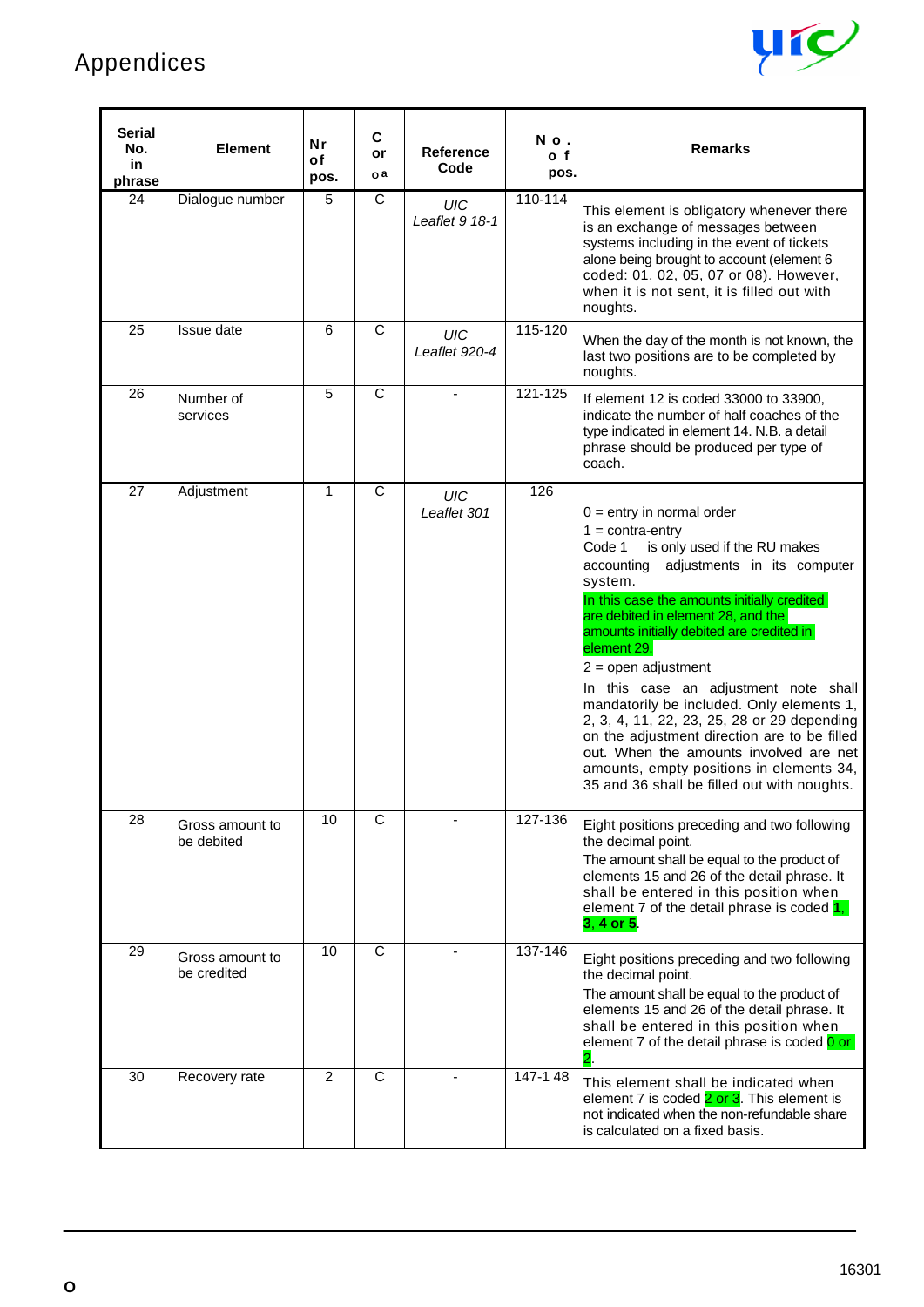

| Serial<br>No.<br>in.<br>phrase | <b>Element</b>                 | Nr<br>οf<br>pos. | C<br>or<br>o a | <b>Reference</b><br>Code  | No.<br>o f<br>pos. | <b>Remarks</b>                                                                                                                                                                                                                                                                                                                                                                                                                                                                                                                                                                                                                                                 |
|--------------------------------|--------------------------------|------------------|----------------|---------------------------|--------------------|----------------------------------------------------------------------------------------------------------------------------------------------------------------------------------------------------------------------------------------------------------------------------------------------------------------------------------------------------------------------------------------------------------------------------------------------------------------------------------------------------------------------------------------------------------------------------------------------------------------------------------------------------------------|
| 24                             | Dialogue number                | 5                | C              | UIC<br>Leaflet 9 18-1     | 110-114            | This element is obligatory whenever there<br>is an exchange of messages between<br>systems including in the event of tickets<br>alone being brought to account (element 6<br>coded: 01, 02, 05, 07 or 08). However,<br>when it is not sent, it is filled out with<br>noughts.                                                                                                                                                                                                                                                                                                                                                                                  |
| 25                             | Issue date                     | 6                | $\mathsf{C}$   | UIC<br>Leaflet 920-4      | 115-120            | When the day of the month is not known, the<br>last two positions are to be completed by<br>noughts.                                                                                                                                                                                                                                                                                                                                                                                                                                                                                                                                                           |
| 26                             | Number of<br>services          | 5                | $\mathsf{C}$   |                           | 121-125            | If element 12 is coded 33000 to 33900,<br>indicate the number of half coaches of the<br>type indicated in element 14. N.B. a detail<br>phrase should be produced per type of<br>coach.                                                                                                                                                                                                                                                                                                                                                                                                                                                                         |
| 27                             | Adjustment                     | $\mathbf{1}$     | C              | <b>UIC</b><br>Leaflet 301 | 126                | $0 =$ entry in normal order<br>$1 = \text{contra-entry}$<br>is only used if the RU makes<br>Code 1<br>accounting<br>adjustments in its computer<br>system.<br>In this case the amounts initially credited<br>are debited in element 28, and the<br>amounts initially debited are credited in<br>element 29.<br>$2 =$ open adjustment<br>In this case an adjustment note shall<br>mandatorily be included. Only elements 1,<br>2, 3, 4, 11, 22, 23, 25, 28 or 29 depending<br>on the adjustment direction are to be filled<br>out. When the amounts involved are net<br>amounts, empty positions in elements 34,<br>35 and 36 shall be filled out with noughts. |
| 28                             | Gross amount to<br>be debited  | 10               | C              |                           | 127-136            | Eight positions preceding and two following<br>the decimal point.<br>The amount shall be equal to the product of<br>elements 15 and 26 of the detail phrase. It<br>shall be entered in this position when<br>element 7 of the detail phrase is coded $1,$<br>3, 4 or 5.                                                                                                                                                                                                                                                                                                                                                                                        |
| 29                             | Gross amount to<br>be credited | 10               | C              |                           | 137-146            | Eight positions preceding and two following<br>the decimal point.<br>The amount shall be equal to the product of<br>elements 15 and 26 of the detail phrase. It<br>shall be entered in this position when<br>element 7 of the detail phrase is coded 0 or<br>$\overline{\mathbf{2}}$ .                                                                                                                                                                                                                                                                                                                                                                         |
| 30                             | Recovery rate                  | $\overline{2}$   | C              |                           | 147-148            | This element shall be indicated when<br>element 7 is coded 2 or 3. This element is<br>not indicated when the non-refundable share<br>is calculated on a fixed basis.                                                                                                                                                                                                                                                                                                                                                                                                                                                                                           |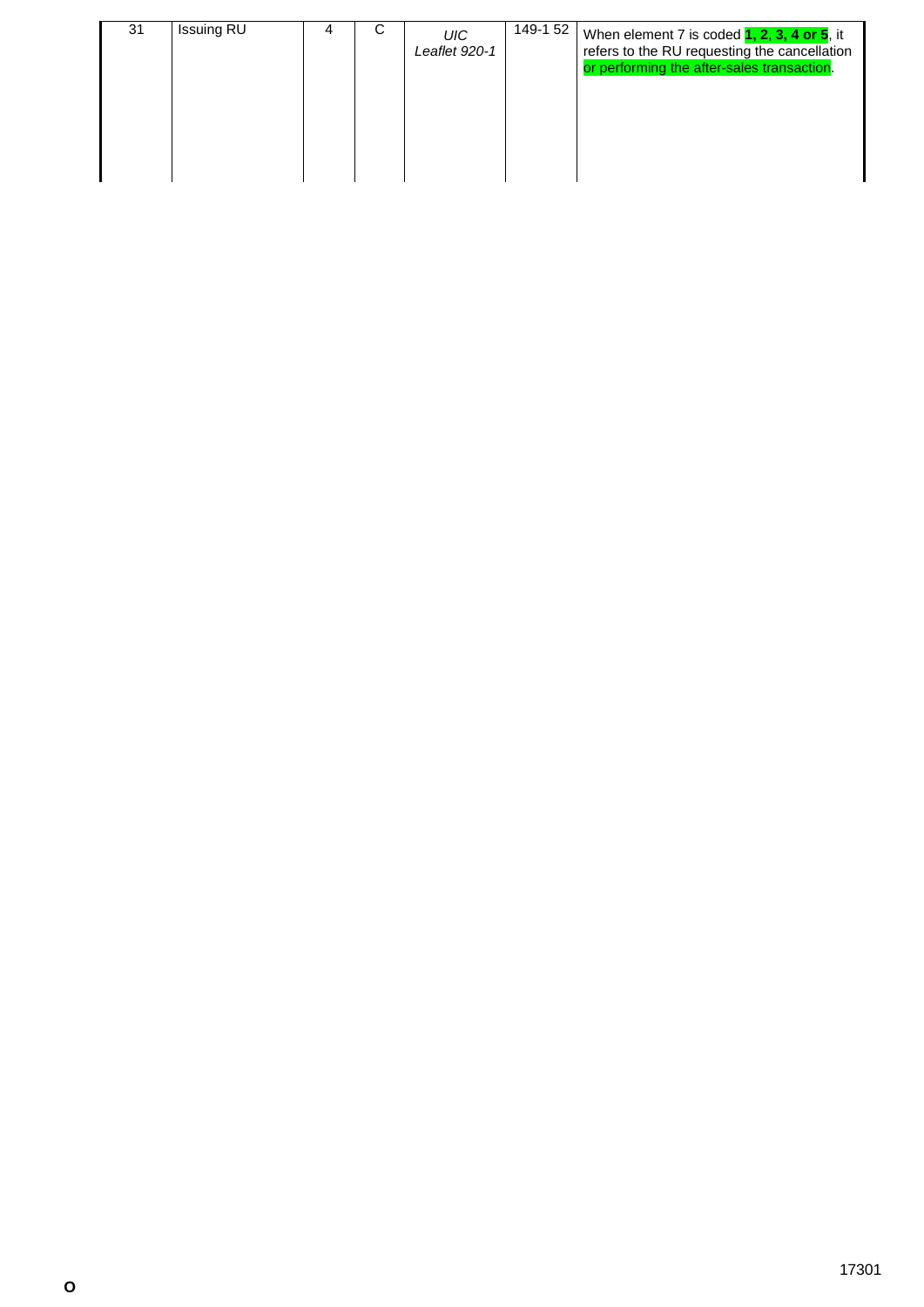|  | 31 | <b>Issuing RU</b> |  | С | UIC<br>Leaflet 920-1 | 149-1 52 | When element 7 is coded $1, 2, 3, 4$ or $5$ , it<br>refers to the RU requesting the cancellation<br>or performing the after-sales transaction. |
|--|----|-------------------|--|---|----------------------|----------|------------------------------------------------------------------------------------------------------------------------------------------------|
|--|----|-------------------|--|---|----------------------|----------|------------------------------------------------------------------------------------------------------------------------------------------------|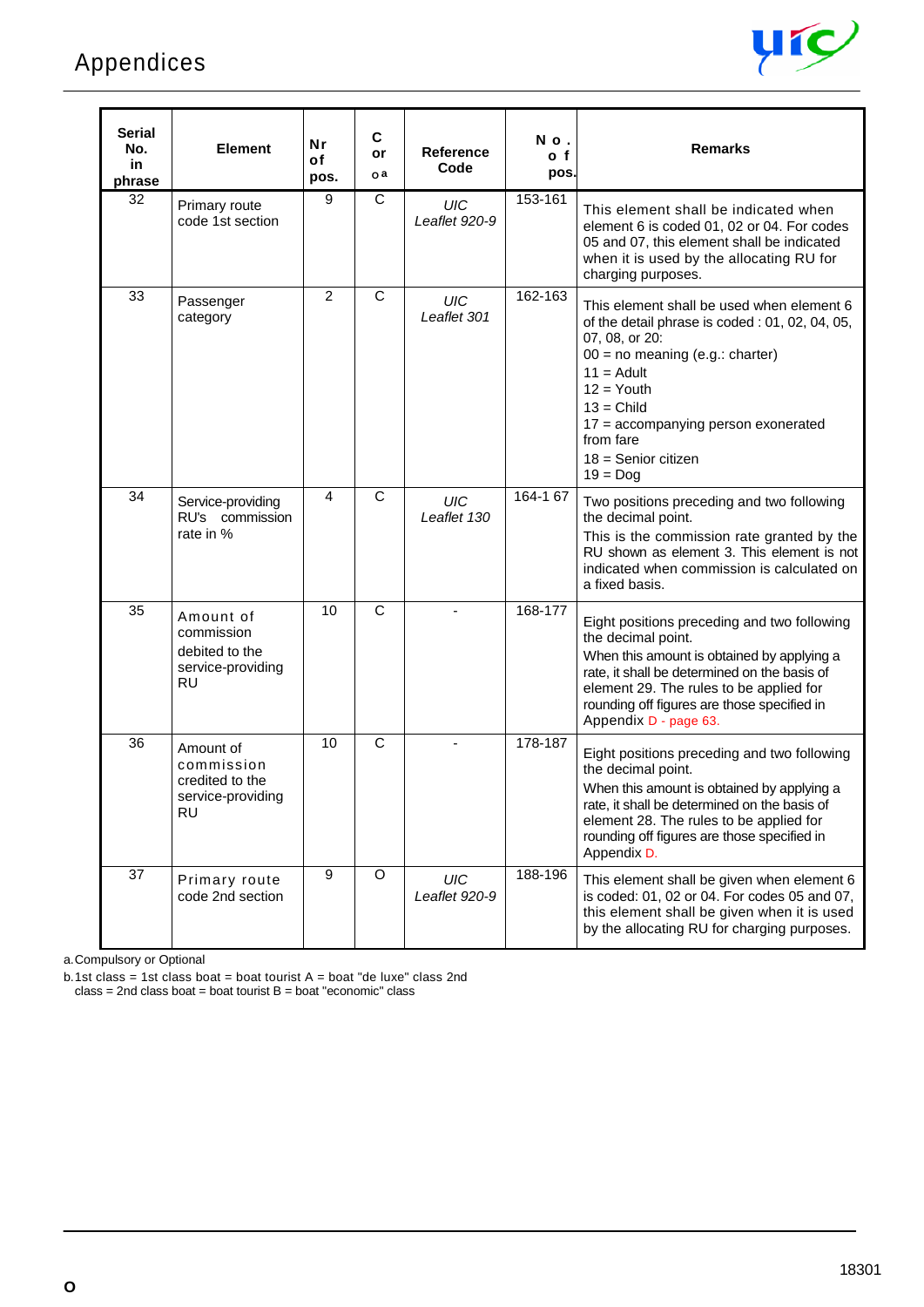

| Serial<br>No.<br>in<br>phrase | <b>Element</b>                                                              | Nr<br>of<br>pos. | C<br>or<br>oa         | <b>Reference</b><br>Code    | No.<br>o f<br>pos. | <b>Remarks</b>                                                                                                                                                                                                                                                                                |
|-------------------------------|-----------------------------------------------------------------------------|------------------|-----------------------|-----------------------------|--------------------|-----------------------------------------------------------------------------------------------------------------------------------------------------------------------------------------------------------------------------------------------------------------------------------------------|
| 32                            | Primary route<br>code 1st section                                           | 9                | C                     | <b>UIC</b><br>Leaflet 920-9 | 153-161            | This element shall be indicated when<br>element 6 is coded 01, 02 or 04. For codes<br>05 and 07, this element shall be indicated<br>when it is used by the allocating RU for<br>charging purposes.                                                                                            |
| 33                            | Passenger<br>category                                                       | 2                | C                     | UIC<br>Leaflet 301          | 162-163            | This element shall be used when element 6<br>of the detail phrase is coded: 01, 02, 04, 05,<br>07, 08, or 20:<br>$00 = no$ meaning (e.g.: charter)<br>$11 =$ Adult<br>$12 =$ Youth<br>$13 =$ Child<br>17 = accompanying person exonerated<br>from fare<br>$18 =$ Senior citizen<br>$19 =$ Dog |
| 34                            | Service-providing<br>RU's commission<br>rate in %                           | 4                | $\mathsf C$           | UIC<br>Leaflet 130          | $164 - 167$        | Two positions preceding and two following<br>the decimal point.<br>This is the commission rate granted by the<br>RU shown as element 3. This element is not<br>indicated when commission is calculated on<br>a fixed basis.                                                                   |
| 35                            | Amount of<br>commission<br>debited to the<br>service-providing<br><b>RU</b> | 10               | $\mathsf{C}$          | ÷.                          | 168-177            | Eight positions preceding and two following<br>the decimal point.<br>When this amount is obtained by applying a<br>rate, it shall be determined on the basis of<br>element 29. The rules to be applied for<br>rounding off figures are those specified in<br>Appendix D - page 63.            |
| 36                            | Amount of<br>commission<br>credited to the<br>service-providing<br>RU       | 10               | $\overline{\text{c}}$ |                             | 178-187            | Eight positions preceding and two following<br>the decimal point.<br>When this amount is obtained by applying a<br>rate, it shall be determined on the basis of<br>element 28. The rules to be applied for<br>rounding off figures are those specified in<br>Appendix D.                      |
| 37                            | Primary route<br>code 2nd section                                           | 9                | O                     | UIC<br>Leaflet 920-9        | 188-196            | This element shall be given when element 6<br>is coded: 01, 02 or 04. For codes 05 and 07,<br>this element shall be given when it is used<br>by the allocating RU for charging purposes.                                                                                                      |

a.Compulsory or Optional

b.1st class = 1st class boat = boat tourist A = boat "de luxe" class 2nd class = 2nd class boat = boat tourist B = boat "economic" class